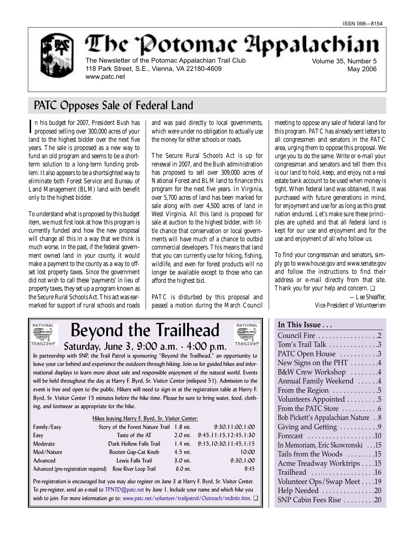

# The Potomae Appalachian

The Newsletter of the Potomac Appalachian Trail Club 118 Park Street, S.E., Vienna, VA 22180-4609 www.patc.net

Volume 35, Number 5 May 2006

## PATC Opposes Sale of Federal Land

In his budget for 2007, President Bush has<br>proposed selling over 300,000 acres of your n his budget for 2007, President Bush has land to the highest bidder over the next five years. The sale is proposed as a new way to fund an old program and seems to be a shortterm solution to a long-term funding problem. It also appears to be a shortsighted way to eliminate both Forest Service and Bureau of Land Management (BLM) land with benefit only to the highest bidder.

To understand what is proposed by this budget item, we must first look at how this program is currently funded and how the new proposal will change all this in a way that we think is much worse. In the past, if the federal government owned land in your county, it would make a payment to the county as a way to offset lost property taxes. Since the government did not wish to call these 'payments' in lieu of property taxes, they set up a program known as the Secure Rural Schools Act. This act was earmarked for support of rural schools and roads and was paid directly to local governments, which were under no obligation to actually use the money for either schools or roads.

The Secure Rural Schools Act is up for renewal in 2007, and the Bush administration has proposed to sell over 309,000 acres of National Forest and BLM land to finance this program for the next five years. In Virginia, over 5,700 acres of land has been marked for sale along with over 4,500 acres of land in West Virginia. All this land is proposed for sale at auction to the highest bidder, with little chance that conservation or local governments will have much of a chance to outbid commercial developers. This means that land that you can currently use for hiking, fishing, wildlife, and even for forest products will no longer be available except to those who can afford the highest bid.

PATC is disturbed by this proposal and passed a motion during the March Council

**MATIONAL** 

TRAILSDAY

**SMED Sept**  meeting to oppose any sale of federal land for this program. PATC has already sent letters to all congressmen and senators in the PATC area, urging them to oppose this proposal. We urge you to do the same. Write or e-mail your congressman and senators and tell them this is our land to hold, keep, and enjoy, not a real estate bank account to be used when money is tight. When federal land was obtained, it was purchased with future generations in mind, for enjoyment and use for as long as this great nation endured. Let's make sure these principles are upheld and that all federal land is kept for our use and enjoyment and for the use and enjoyment of all who follow us.

To find your congressman and senators, simply go to www.house.gov and www.senate.gov and follow the instructions to find their address or e-mail directly from that site. Thank you for your help and concern. ❏

> *—Lee Sheaffer, Vice-President of Volunteerism*

## **In This Issue . . .**

| Council Fire 2                            |
|-------------------------------------------|
| Tom's Trail Talk 3                        |
| PATC Open House 3                         |
| New Signs on the PHT 4                    |
| B&W Crew Workshop 4                       |
| Annual Family Weekend 4                   |
| From the Region 5                         |
| Volunteers Appointed 5                    |
| From the PATC Store 6                     |
| Bob Pickett's Appalachian Nature 8        |
| Giving and Getting 9                      |
| Forecast $\dots\dots\dots\dots\dots\dots$ |
| In Memoriam, Eric Skowronski15            |
| Tails from the Woods 15                   |
| Acme Treadway Worktrips 15                |
| $Trailhead$ 16                            |
| Volunteer Ops/Swap Meet 19                |
| Help Needed 20                            |
| SNP Cabin Fees Rise  20                   |
|                                           |

### MATIONAL 壽 TRAILS DAY

Beyond the Trailhead Saturday, June 3, 9:00 a.m. - 4:00 p.m.

In partnership with SNP, the Trail Patrol is sponsoring "Beyond the Trailhead," an opportunity to leave your car behind and experience the outdoors through hiking. Join us for guided hikes and informational displays to learn more about safe and responsible enjoyment of the natural world. Events will be held throughout the day at Harry F. Byrd, Sr. Visitor Center (milepost 51). Admission to the event is free and open to the public. Hikers will need to sign in at the registration table at Harry F. Byrd, Sr. Visitor Center 15 minutes before the hike time. Please be sure to bring water, food, clothing, and footwear as appropriate for the hike.

### Hikes leaving Harry F. Byrd, Sr. Visitor Center:

| Family/Easy                                                | Story of the Forest Nature Trail 1.8 mi. |                   | 9:30,11:00,1:00                 |
|------------------------------------------------------------|------------------------------------------|-------------------|---------------------------------|
| Easy                                                       | Taste of the AT                          |                   | 2.0 mi. $9:45,11:15,12:45,1:30$ |
| Moderate                                                   | Dark Hollow Falls Trail                  |                   | 1.4 mi. $9:15,10:30,11:45,1:15$ |
| Mod/Nature                                                 | Booten Gap-Cat Knob                      | $4.5$ mi.         | 10:00                           |
| Advanced                                                   | Lewis Falls Trail                        | $3.0 \text{ mi.}$ | 9:30.1:00                       |
| Advanced (pre-registration required) Rose River Loop Trail |                                          | $6.0$ mi.         | 9:45                            |

Pre-registration is encouraged but you may also register on June 3 at Harry F. Byrd, Sr. Visitor Center. To pre-register, send an e-mail to TPNTD@patc.net by June 1. Include your name and which hike you wish to join. For more information go to: www.patc.net/volunteer/trailpatrol/Outreach/ntdinfo.htm. □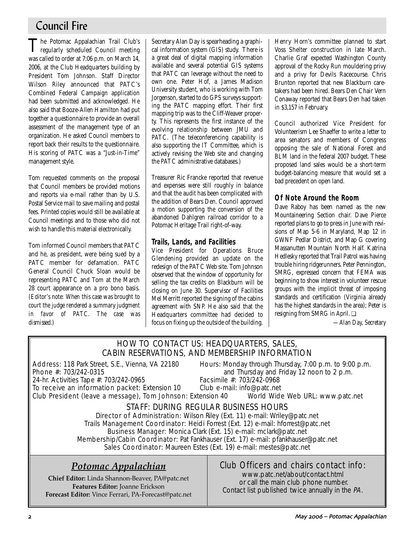## Council Fire

The Potomac Appalachian Trail Club's regularly scheduled Council meeting was called to order at 7:06 p.m. on March 14, 2006, at the Club Headquarters building by President Tom Johnson. Staff Director Wilson Riley announced that PATC's Combined Federal Campaign application had been submitted and acknowledged. He also said that Booze-Allen Hamilton had put together a questionnaire to provide an overall assessment of the management type of an organization. He asked Council members to report back their results to the questionnaire. His scoring of PATC was a "Just-in-Time" management style.

Tom requested comments on the proposal that Council members be provided motions and reports via e-mail rather than by U.S. Postal Service mail to save mailing and postal fees. Printed copies would still be available at Council meetings and to those who did not wish to handle this material electronically.

Tom informed Council members that PATC and he, as president, were being sued by a PATC member for defamation. PATC General Council Chuck Sloan would be representing PATC and Tom at the March 28 court appearance on a pro bono basis. *(Editor's note: When this case was brought to court the judge rendered a summary judgment in favor of PATC. The case was dismissed.)*

Secretary Alan Day is spearheading a graphical information system (GIS) study. There is a great deal of digital mapping information available and several potential GIS systems that PATC can leverage without the need to own one. Peter Hof, a James Madison University student, who is working with Tom Jorgenson, started to do GPS surveys supporting the PATC mapping effort. Their first mapping trip was to the Cliff-Weaver property. This represents the first instance of the evolving relationship between JMU and PATC. (The teleconferencing capability is also supporting the IT Committee, which is actively revising the Web site and changing the PATC administrative databases.)

Treasurer Ric Francke reported that revenue and expenses were still roughly in balance and that the audit has been complicated with the addition of Bears Den. Council approved a motion supporting the conversion of the abandoned Dahlgren railroad corridor to a Potomac Heritage Trail right-of-way.

## **Trails, Lands, and Facilities**

Vice President for Operations Bruce Glendening provided an update on the redesign of the PATC Web site. Tom Johnson observed that the window of opportunity for selling the tax credits on Blackburn will be closing on June 30. Supervisor of Facilities Mel Merritt reported the signing of the cabins agreement with SNP. He also said that the Headquarters committee had decided to focus on fixing up the outside of the building. Henry Horn's committee planned to start Voss Shelter construction in late March. Charlie Graf expected Washington County approval of the Rocky Run mouldering privy and a privy for Devils Racecourse. Chris Brunton reported that new Blackburn caretakers had been hired. Bears Den Chair Vern Conaway reported that Bears Den had taken in \$3,157 in February.

Council authorized Vice President for Volunteerism Lee Shaeffer to write a letter to area senators and members of Congress opposing the sale of National Forest and BLM land in the federal 2007 budget. These proposed land sales would be a short-term budget-balancing measure that would set a bad precedent on open land.

## **Of Note Around the Room**

Dave Raboy has been named as the new Mountaineering Section chair. Dave Pierce reported plans to go to press in June with revisions of Map 5-6 in Maryland, Map 12 in GWNF Pedlar District, and Map G covering Massanutten Mountain North Half. Katrina Hedlesky reported that Trail Patrol was having trouble hiring ridgerunners. Peter Pennington, SMRG, expressed concern that FEMA was beginning to show interest in volunteer rescue groups with the implicit threat of imposing standards and certification (Virginia already has the highest standards in the area); Peter is resigning from SMRG in April. ❏

*—Alan Day, Secretary*

## HOW TO CONTACT US: HEADQUARTERS, SALES, CABIN RESERVATIONS, AND MEMBERSHIP INFORMATION

Address: 118 Park Street, S.E., Vienna, VA 22180 Hours: Monday through Thursday, 7:00 p.m. to 9:00 p.m.

24-hr. Activities Tape #: 703/242-0965 Facsimile #: 703/242-0968<br>To receive an information packet: Extension 10 Club e-mail: info@patc.net To receive an information packet: Extension 10

**Phone #:** 703/242-0315 **and Thursday and Friday 12 noon to 2 p.m.**<br>24-hr. Activities Tape #: 703/242-0965 **Facsimile #:** 703/242-0968

Club President (leave a message), Tom Johnson: Extension 40 World Wide Web URL: www.patc.net

## STAFF: DURING REGULAR BUSINESS HOURS

Director of Administration: Wilson Riley (Ext. 11) e-mail: Wriley@patc.net Trails Management Coordinator: Heidi Forrest (Ext. 12) e-mail: hforrest@patc.net Business Manager: Monica Clark (Ext. 15) e-mail: mclark@patc.net Membership/Cabin Coordinator: Pat Fankhauser (Ext. 17) e-mail: pfankhauser@patc.net Sales Coordinator: Maureen Estes (Ext. 19) e-mail: mestes@patc.net

## *Potomac Appalachian*

**Chief Editor:** Linda Shannon-Beaver, PA@patc.net **Features Editor:** Joanne Erickson **Forecast Editor:** Vince Ferrari, PA-Forecast@patc.net

## Club Officers and chairs contact info:

www.patc.net/about/contact.html or call the main club phone number. Contact list published twice annually in the PA.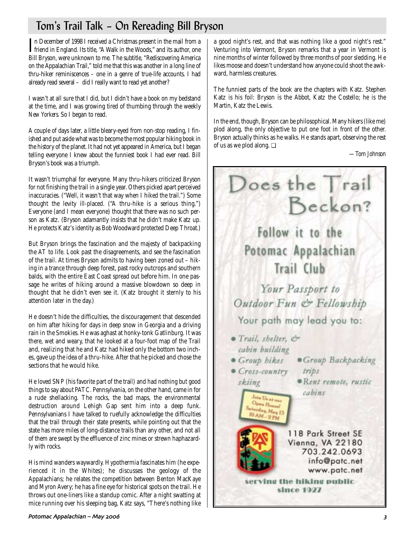## Tom's Trail Talk – On Rereading Bill Bryson

In December of 1998 I received a Christmas present in the mail from a<br>friend in England. Its title, "A Walk in the Woods," and its author, one n December of 1998 I received a Christmas present in the mail from a Bill Bryson, were unknown to me. The subtitle, "Rediscovering America on the Appalachian Trail," told me that this was another in a long line of thru-hiker reminiscences – one in a genre of true-life accounts. I had already read several – did I really want to read yet another?

I wasn't at all sure that I did, but I didn't have a book on my bedstand at the time, and I was growing tired of thumbing through the weekly *New Yorkers*. So I began to read.

A couple of days later, a little bleary-eyed from non-stop reading, I finished and put aside what was to become the most popular hiking book in the history of the planet. It had not yet appeared in America, but I began telling everyone I knew about the funniest book I had ever read. Bill Bryson's book was a triumph.

It wasn't triumphal for everyone. Many thru-hikers criticized Bryson for not finishing the trail in a single year. Others picked apart perceived inaccuracies. ("Well, it wasn't that way when I hiked the trail.") Some thought the levity ill-placed. ("A thru-hike is a serious thing.") Everyone (and I mean everyone) thought that there was no such person as Katz. (Bryson adamantly insists that he didn't make Katz up. He protects Katz's identity as Bob Woodward protected Deep Throat.)

But Bryson brings the fascination and the majesty of backpacking the AT to life. Look past the disagreements, and see the fascination of the trail. At times Bryson admits to having been zoned out – hiking in a trance through deep forest, past rocky outcrops and southern balds, with the entire East Coast spread out before him. In one passage he writes of hiking around a massive blowdown so deep in thought that he didn't even see it. (Katz brought it sternly to his attention later in the day.)

He doesn't hide the difficulties, the discouragement that descended on him after hiking for days in deep snow in Georgia and a driving rain in the Smokies. He was aghast at honky-tonk Gatlinburg. It was there, wet and weary, that he looked at a four-foot map of the Trail and, realizing that he and Katz had hiked only the bottom two inches, gave up the idea of a thru-hike. After that he picked and chose the sections that he would hike.

He loved SNP (his favorite part of the trail) and had nothing but good things to say about PATC. Pennsylvania, on the other hand, came in for a rude shellacking. The rocks, the bad maps, the environmental destruction around Lehigh Gap sent him into a deep funk. Pennsylvanians I have talked to ruefully acknowledge the difficulties that the trail through their state presents, while pointing out that the state has more miles of long-distance trails than any other, and not all of them are swept by the effluence of zinc mines or strewn haphazardly with rocks.

His mind wanders waywardly. Hypothermia fascinates him (he experienced it in the Whites); he discusses the geology of the Appalachians; he relates the competition between Benton MacKaye and Myron Avery; he has a fine eye for historical spots on the trail. He throws out one-liners like a standup comic. After a night swatting at mice running over his sleeping bag, Katz says, "There's nothing like

a good night's rest, and that was nothing like a good night's rest." Venturing into Vermont, Bryson remarks that a year in Vermont is nine months of winter followed by three months of poor sledding. He likes moose and doesn't understand how anyone could shoot the awkward, harmless creatures.

The funniest parts of the book are the chapters with Katz. Stephen Katz is his foil: Bryson is the Abbot, Katz the Costello; he is the Martin, Katz the Lewis.

In the end, though, Bryson can be philosophical. Many hikers (like me) plod along, the only objective to put one foot in front of the other. Bryson actually thinks as he walks. He stands apart, observing the rest of us as we plod along. ❏

*—Tom Johnson*



#### Potomac Appalachian – May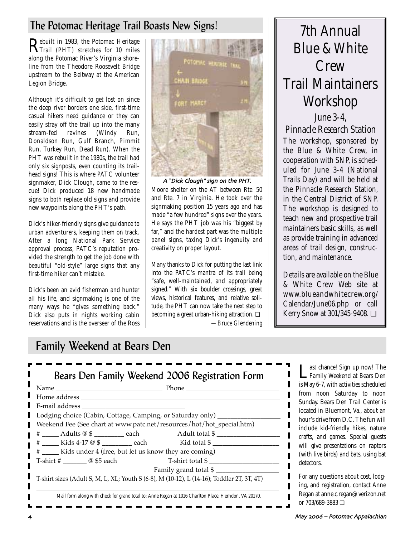## The Potomac Heritage Trail Boasts New Signs! 7th Annual

Rebuilt in 1983, the Potomac Heritage<br>Trail (PHT) stretches for 10 miles along the Potomac River's Virginia shoreline from the Theodore Roosevelt Bridge upstream to the Beltway at the American Legion Bridge.

Although it's difficult to get lost on since the deep river borders one side, first-time casual hikers need guidance or they can easily stray off the trail up into the many stream-fed ravines (Windy Run, Donaldson Run, Gulf Branch, Pimmit Run, Turkey Run, Dead Run). When the PHT was rebuilt in the 1980s, the trail had only six signposts, even counting its trailhead signs! This is where PATC volunteer signmaker, Dick Clough, came to the rescue! Dick produced 18 new handmade signs to both replace old signs and provide new waypoints along the PHT's path.

Dick's hiker-friendly signs give guidance to urban adventurers, keeping them on track. After a long National Park Service approval process, PATC's reputation provided the strength to get the job done with beautiful "old-style" large signs that any first-time hiker can't mistake.

Dick's been an avid fisherman and hunter all his life, and signmaking is one of the many ways he "gives something back." Dick also puts in nights working cabin reservations and is the overseer of the Ross



Moore shelter on the AT between Rte. 50 and Rte. 7 in Virginia. He took over the signmaking position 15 years ago and has made "a few hundred" signs over the years. He says the PHT job was his "biggest by far," and the hardest part was the multiple panel signs, taxing Dick's ingenuity and creativity on proper layout.

Many thanks to Dick for putting the last link into the PATC's mantra of its trail being "safe, well-maintained, and appropriately signed." With six boulder crossings, great views, historical features, and relative solitude, the PHT can now take the next step to becoming a great urban-hiking attraction. ❏ *—Bruce Glendening*

# Blue & White **Crew** Trail Maintainers Workshop

*June 3-4, Pinnacle Research Station* The workshop, sponsored by the Blue & White Crew, in cooperation with SNP, is scheduled for June 3-4 (National Trails Day) and will be held at the Pinnacle Research Station, in the Central District of SNP. The workshop is designed to teach new and prospective trail maintainers basic skills, as well as provide training in advanced areas of trail design, construction, and maintenance.

Details are available on the Blue & White Crew Web site at www.blueandwhitecrew.org/ Calendar/June06.php or call Kerry Snow at 301/345-9408. ❏

 $\blacksquare$  $\blacksquare$ 

## Family Weekend at Bears Den

| E-mail address                                                                   |                                                                                            |
|----------------------------------------------------------------------------------|--------------------------------------------------------------------------------------------|
| Lodging choice (Cabin, Cottage, Camping, or Saturday only) _____                 |                                                                                            |
|                                                                                  | Weekend Fee (See chart at www.patc.net/resources/hot/hot_special.htm)                      |
|                                                                                  | $\Box$ # ______ Adults @ \$ __________ each Adult total \$ ___________                     |
| $\uparrow$ $\uparrow$ $\qquad$ Kids 4-17 @ \$ _________ each Kid total \$ ______ |                                                                                            |
| # ______ Kids under 4 (free, but let us know they are coming)                    |                                                                                            |
| T-shirt # $\_\_\_\_\_\_\_\_\_\$ &5 each                                          | T-shirt total \$                                                                           |
|                                                                                  | Family grand total \$                                                                      |
|                                                                                  | T-shirt sizes (Adult S, M, L, XL; Youth S (6-8), M (10-12), L (14-16); Toddler 2T, 3T, 4T) |

Last chance! Sign up now! The<br>Family Weekend at Bears Den is May 6-7, with activities scheduled from noon Saturday to noon Sunday. Bears Den Trail Center is located in Bluemont, Va., about an hour's drive from D.C. The fun will include kid-friendly hikes, nature crafts, and games. Special guests will give presentations on raptors (with live birds) and bats, using bat detectors.

For any questions about cost, lodging, and registration, contact Anne Regan at anne.c.regan@verizon.net or 703/689-3883 ❏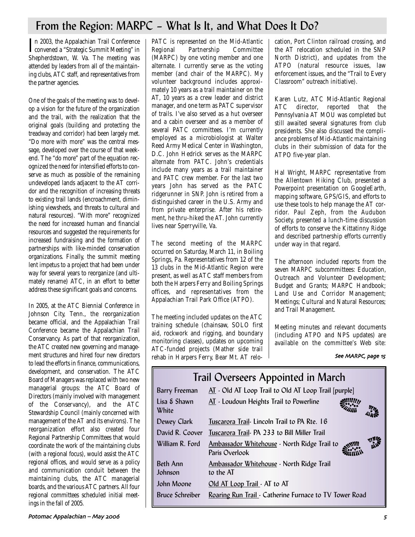## From the Region: MARPC – What Is It, and What Does It Do?

In 2003, the Appalachian Trail Conference<br>convened a "Strategic Summit Meeting" in n 2003, the Appalachian Trail Conference Shepherdstown, W. Va. The meeting was attended by leaders from all of the maintaining clubs, ATC staff, and representatives from the partner agencies.

One of the goals of the meeting was to develop a vision for the future of the organization and the trail, with the realization that the original goals (building and protecting the treadway and corridor) had been largely met. "Do more with more" was the central message, developed over the course of that weekend. The "do more" part of the equation recognized the need for intensified efforts to conserve as much as possible of the remaining undeveloped lands adjacent to the AT corridor and the recognition of increasing threats to existing trail lands (encroachment, diminishing viewsheds, and threats to cultural and natural resources). "With more" recognized the need for increased human and financial resources and suggested the requirements for increased fundraising and the formation of partnerships with like-minded conservation organizations. Finally, the summit meeting lent impetus to a project that had been under way for several years to reorganize (and ultimately rename) ATC, in an effort to better address these significant goals and concerns.

In 2005, at the ATC Biennial Conference in Johnson City, Tenn., the reorganization became official, and the Appalachian Trail Conference became the Appalachian Trail Conservancy. As part of that reorganization, the ATC created new governing and management structures and hired four new directors to lead the efforts in finance, communications, development, and conservation. The ATC Board of Managers was replaced with two new managerial groups: the ATC Board of Directors (mainly involved with management of the Conservancy), and the ATC Stewardship Council (mainly concerned with management of the AT and its environs). The reorganization effort also created four Regional Partnership Committees that would coordinate the work of the maintaining clubs (with a regional focus), would assist the ATC regional offices, and would serve as a policy and communication conduit between the maintaining clubs, the ATC managerial boards, and the various ATC partners. All four regional committees scheduled initial meetings in the fall of 2005.

PATC is represented on the Mid-Atlantic Regional Partnership Committee (MARPC) by one voting member and one alternate. I currently serve as the voting member (and chair of the MARPC). My volunteer background includes approximately 10 years as a trail maintainer on the AT, 10 years as a crew leader and district manager, and one term as PATC supervisor of trails. I've also served as a hut overseer and a cabin overseer and as a member of several PATC committees. I'm currently employed as a microbiologist at Walter Reed Army Medical Center in Washington, D.C. John Hedrick serves as the MARPC alternate from PATC. John's credentials include many years as a trail maintainer and PATC crew member. For the last two years John has served as the PATC ridgerunner in SNP. John is retired from a distinguished career in the U.S. Army and from private enterprise. After his retirement, he thru-hiked the AT. John currently lives near Sperryville, Va.

The second meeting of the MARPC occurred on Saturday, March 11, in Boiling Springs, Pa. Representatives from 12 of the 13 clubs in the Mid-Atlantic Region were present, as well as ATC staff members from both the Harpers Ferry and Boiling Springs offices, and representatives from the Appalachian Trail Park Office (ATPO).

The meeting included updates on the ATC training schedule (chainsaw, SOLO first aid, rockwork and rigging, and boundary monitoring classes), updates on upcoming ATC-funded projects (Mather side trail rehab in Harpers Ferry, Bear Mt. AT relocation, Port Clinton railroad crossing, and the AT relocation scheduled in the SNP North District), and updates from the ATPO (natural resource issues, law enforcement issues, and the "Trail to Every Classroom" outreach initiative).

Karen Lutz, ATC Mid-Atlantic Regional ATC director, reported that the Pennsylvania AT MOU was completed but still awaited several signatures from club presidents. She also discussed the compliance problems of Mid-Atlantic maintaining clubs in their submission of data for the ATPO five-year plan.

Hal Wright, MARPC representative from the Allentown Hiking Club, presented a Powerpoint presentation on GoogleEarth, mapping software, GPS/GIS, and efforts to use these tools to help manage the AT corridor. Paul Zeph, from the Audubon Society, presented a lunch-time discussion of efforts to conserve the Kittatinny Ridge and described partnership efforts currently under way in that regard.

The afternoon included reports from the seven MARPC subcommittees: Education, Outreach and Volunteer Development; Budget and Grants; MARPC Handbook; Land Use and Corridor Management; Meetings; Cultural and Natural Resources; and Trail Management.

Meeting minutes and relevant documents (including ATPO and NPS updates) are available on the committee's Web site:

#### See MARPC, page 15

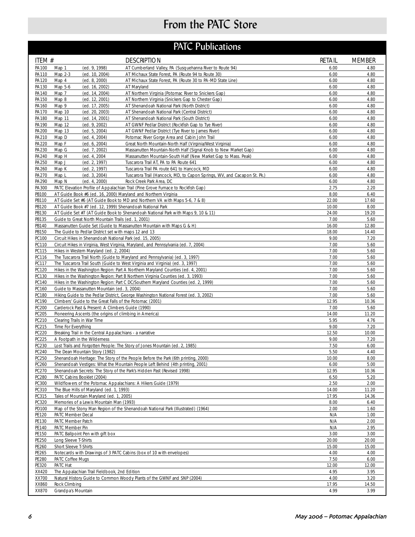## From the PATC Store

|                |                              |                                                                                      | <b>PATC Publications</b>                                                                             |                |                |
|----------------|------------------------------|--------------------------------------------------------------------------------------|------------------------------------------------------------------------------------------------------|----------------|----------------|
| ITEM #         |                              |                                                                                      | <b>DESCRIPTION</b>                                                                                   | <b>RETAIL</b>  | <b>MEMBER</b>  |
| PA100          | Map 1                        | (ed. 9, 1998)                                                                        | AT Cumberland Valley, PA (Susquehanna River to Route 94)                                             | 6.00           | 4.80           |
| PA110          | Map 2-3                      | (ed. 10, 2004)                                                                       | AT Michaux State Forest, PA (Route 94 to Route 30)                                                   | 6.00           | 4.80           |
| PA120          | Map 4                        | (ed. 8, 2000)                                                                        | AT Michaux State Forest, PA (Route 30 to PA-MD State Line)                                           | 6.00           | 4.80           |
| PA130          | Map 5-6                      | (ed. 16, 2002)                                                                       | AT Maryland                                                                                          | 6.00           | 4.80           |
| PA140          | Map 7                        | (ed. 14, 2004)                                                                       | AT Northern Virginia (Potomac River to Snickers Gap)                                                 | 6.00<br>6.00   | 4.80<br>4.80   |
| PA150<br>PA160 | Map 8<br>Map 9               | (ed. 12, 2001)<br>(ed. 17, 2005)                                                     | AT Northern Virginia (Snickers Gap to Chester Gap)<br>AT Shenandoah National Park (North District)   | 6.00           | 4.80           |
| PA170          | Map 10                       | (ed. 20, 2003)                                                                       | AT Shenandoah National Park (Central District)                                                       | 6.00           | 4.80           |
| PA180          | Map 11                       | (ed. 14, 2001)                                                                       | AT Shenandoah National Park (South District)                                                         | 6.00           | 4.80           |
| PA190          | Map 12                       | (ed. 9, 2002)                                                                        | AT GWNF Pedlar District (Rockfish Gap to Tye River)                                                  | 6.00           | 4.80           |
| PA200          | Map 13                       | (ed. 5, 2004)                                                                        | AT GWNF Pedlar District (Tye River to James River)                                                   | 6.00           | 4.80           |
| PA210          | Map D                        | (ed. 4, 2004)                                                                        | Potomac River Gorge Area and Cabin John Trail                                                        | 6.00           | 4.80           |
| PA220          | Map F                        | (ed. 6, 2004)                                                                        | Great North Mountain-North Half (Virginia/West Virginia)                                             | 6.00           | 4.80           |
| PA230          | Map G                        | (ed. 7, 2002)                                                                        | Massanutten Mountain-North Half (Signal Knob to New Market Gap)                                      | 6.00           | 4.80           |
| PA240          | Map H                        | (ed. 4, 2004)                                                                        | Massanutten Mountain-South Half (New Market Gap to Mass. Peak)                                       | 6.00           | 4.80           |
| PA250          | Map J                        | (ed. 2, 1997)                                                                        | Tuscarora Trail AT, PA to PA Route 641                                                               | 6.00           | 4.80           |
| PA260          | Map K                        | (ed. 2, 1997)                                                                        | Tuscarora Trail PA route 641 to Hancock, MD                                                          | 6.00           | 4.80           |
| PA270<br>PA290 | Map L<br>Map N               | (ed. 3, 2004)<br>(ed. 4, 2000)                                                       | Tuscarora Trail (Hancock, MD, to Capon Springs, WV, and Cacapon St. Pk.)<br>Rock Creek Park Area, DC | 6.00<br>6.00   | 4.80<br>4.80   |
| PA300          |                              |                                                                                      | PATC Elevation Profile of Appalachian Trail (Pine Grove Furnace to Rockfish Gap)                     | 2.75           | 2.20           |
| PB100          |                              |                                                                                      | AT Guide Book #6 (ed. 16, 2000) Maryland and Northern Virginia                                       | 8.00           | 6.40           |
| PB110          |                              |                                                                                      | AT Guide Set #6 (AT Guide Book to MD and Northern VA with Maps 5-6, 7 & 8)                           | 22.00          | 17.60          |
| PB120          |                              |                                                                                      | AT Guide Book #7 (ed. 12, 1999) Shenandoah National Park                                             | 10.00          | 8.00           |
| PB130          |                              |                                                                                      | AT Guide Set #7 (AT Guide Book to Shenandoah National Park with Maps 9, 10 & 11)                     | 24.00          | 19.20          |
| PB135          |                              |                                                                                      | Guide to Great North Mountain Trails (ed. 1, 2001)                                                   | 7.00           | 5.60           |
| PB140          |                              |                                                                                      | Massanutten Guide Set (Guide to Massanutten Mountain with Maps G & H)                                | 16.00          | 12.80          |
| PB150          |                              |                                                                                      | The Guide to Pedlar District set with maps 12 and 13                                                 | 18.00          | 14.40          |
| PC100          |                              |                                                                                      | Circuit Hikes in Shenandoah National Park (ed. 15, 2005)                                             | 9.00           | 7.20           |
| PC110          |                              | Hikes in Western Maryland (ed. 2, 2004)                                              | Circuit Hikes in Virginia, West Virginia, Maryland, and Pennsylvania (ed. 7, 2004)                   | 7.00<br>7.00   | 5.60<br>5.60   |
| PC115<br>PC116 |                              |                                                                                      | The Tuscarora Trail North (Guide to Maryland and Pennsylvania) (ed. 3, 1997)                         | 7.00           | 5.60           |
| PC117          |                              |                                                                                      | The Tuscarora Trail South (Guide to West Virginia and Virginia) (ed. 3, 1997)                        | 7.00           | 5.60           |
| PC120          |                              |                                                                                      | Hikes in the Washington Region: Part A Northern Maryland Counties (ed. 4, 2001)                      | 7.00           | 5.60           |
| PC130          |                              |                                                                                      | Hikes in the Washington Region: Part B Northern Virginia Counties (ed. 3, 1993)                      | 7.00           | 5.60           |
| PC140          |                              |                                                                                      | Hikes in the Washington Region: Part C DC/Southern Maryland Counties (ed. 2, 1999)                   | 7.00           | 5.60           |
| PC160          |                              | Guide to Massanutten Mountain (ed. 3, 2004)                                          |                                                                                                      | 7.00           | 5.60           |
| PC180          |                              |                                                                                      | Hiking Guide to the Pedlar District, George Washington National Forest (ed. 3, 2002)                 | 7.00           | 5.60           |
| PC190          |                              |                                                                                      | Climbers' Guide to the Great Falls of the Potomac (2001)                                             | 12.95          | 10.36          |
| PC200          |                              |                                                                                      | Carderock Past & Present: A Climbers Guide (1990)                                                    | 7.00           | 5.60           |
| PC205          | Clearing Trails in War Time  |                                                                                      | Pioneering Ascents (the origins of climbing in America)                                              | 14.00          | 11.20          |
| PC210<br>PC215 | Time For Everything          |                                                                                      |                                                                                                      | 5.95<br>9.00   | 4.76<br>7.20   |
| PC220          |                              |                                                                                      | Breaking Trail in the Central Appalachians - a narrative                                             | 12.50          | 10.00          |
| PC225          |                              | A Footpath in the Wilderness                                                         |                                                                                                      | 9.00           | 7.20           |
| PC230          |                              |                                                                                      | Lost Trails and Forgotten People: The Story of Jones Mountain (ed. 2, 1985)                          | 7.50           | 6.00           |
| PC240          |                              | The Dean Mountain Story (1982)                                                       |                                                                                                      | 5.50           | 4.40           |
| PC250          |                              |                                                                                      | Shenandoah Heritage: The Story of the People Before the Park (6th printing, 2000)                    | 10.00          | 8.00           |
| PC260          |                              |                                                                                      | Shenandoah Vestiges: What the Mountain People Left Behind (4th printing, 2001)                       | 6.00           | 5.00           |
| PC270          |                              |                                                                                      | Shenandoah Secrets: The Story of the Park's Hidden Past (Revised 1998)                               | 12.95          | 10.36          |
| PC280          |                              | PATC Cabins Booklet (2004)                                                           |                                                                                                      | 6.50           | 5.20           |
| PC300          |                              |                                                                                      | Wildflowers of the Potomac Appalachians: A Hikers Guide (1979)                                       | 2.50           | 2.00           |
| PC310<br>PC315 |                              | The Blue Hills of Maryland (ed. 1, 1993)<br>Tales of Mountain Maryland (ed. 1, 2005) |                                                                                                      | 14.00<br>17.95 | 11.20<br>14.36 |
| PC320          |                              | Memories of a Lewis Mountain Man (1993)                                              |                                                                                                      | 8.00           | 6.40           |
| PD100          |                              |                                                                                      | Map of the Stony Man Region of the Shenandoah National Park (Illustrated) (1964)                     | 2.00           | 1.60           |
| PE120          | PATC Member Decal            |                                                                                      |                                                                                                      | N/A            | 1.00           |
| PE130          | PATC Member Patch            |                                                                                      |                                                                                                      | N/A            | 2.00           |
| PE140          | PATC Member Pin              |                                                                                      |                                                                                                      | N/A            | 2.95           |
| PE150          |                              | PATC Ballpoint Pen with gift box                                                     |                                                                                                      | 3.00           | 3.00           |
| PE250          | Long Sleeve T-Shirts         |                                                                                      |                                                                                                      | 20.00          | 20.00          |
| PE260          | Short Sleeve T-Shirts        |                                                                                      |                                                                                                      | 15.00          | 15.00          |
| PE265          |                              |                                                                                      | Notecards with Drawings of 3 PATC Cabins (box of 10 with envelopes)                                  | 4.00           | 4.00           |
| PE280          | PATC Coffee Mugs<br>PATC Hat |                                                                                      |                                                                                                      | 7.50<br>12.00  | 6.00<br>12.00  |
| PE320<br>XX420 |                              | The Appalachian Trail Fieldbook, 2nd Edition                                         |                                                                                                      | 4.95           | 3.95           |
| XX700          |                              |                                                                                      | Natural History Guide to Common Woody Plants of the GWNF and SNP (2004)                              | 4.00           | 3.20           |
| XX860          | Rock Climbing                |                                                                                      |                                                                                                      | 17.95          | 14.50          |
| XX870          | Grandpa's Mountain           |                                                                                      |                                                                                                      | 4.99           | 3.99           |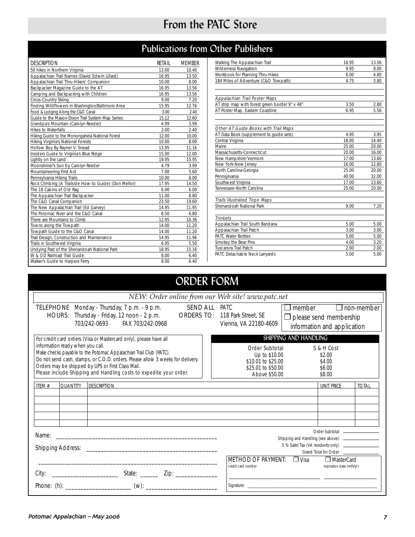## From the PATC Store

## Publications from Other Publishers

| <b>DESCRIPTION</b>                                    | RETAIL | <b>MEMBER</b> |
|-------------------------------------------------------|--------|---------------|
| 50 hikes in Northern Virginia                         | 13.00  | 10.40         |
| Appalachian Trail Names (David Edwin Lillard)         | 16.95  | 13.50         |
| Appalachian Trail Thru-Hikers' Companion              | 10.00  | 8.00          |
| Backpacker Magazine Guide to the AT                   | 16.95  | 13.56         |
| Camping and Backpacking with Children                 | 16.95  | 13.56         |
| Cross-Country Skiing                                  | 9.00   | 7.20          |
| Finding Wildflowers in Washington/Baltimore Area      | 15.95  | 12.76         |
| Food & Lodging Along the C&O Canal                    | 3.00   | 2.40          |
| Guide to the Mason-Dixon Trail System Map Series      | 15.12  | 12.60         |
| Grandpa's Mountain (Carolyn Reeder)                   | 4.99   | 3.99          |
| <b>Hikes to Waterfalls</b>                            | 3.00   | 2.40          |
| Hiking Guide to the Monongahela National Forest       | 12.00  | 10.00         |
| Hiking Virginia's National Forests                    | 10.00  | 8.00          |
| Hollow Boy By Rayner V. Snead                         | 13.95  | 11.16         |
| Insiders Guide to Virginia's Blue Ridge               | 15.00  | 12.00         |
| Lightly on the Land                                   | 19.95  | 15.95         |
| Moonshiner's Son by Carolyn Reeder                    | 4.79   | 3.99          |
| Mountaineering First Aid                              | 7.00   | 5.60          |
| Pennsylvania Hiking Trails                            | 10.00  | 8.00          |
| Rock Climbing (A Trailside How-to Guide) (Don Mellor) | 17.95  | 14.50         |
| The 18 Cabins of Old Rag                              | 6.00   | 6.00          |
| The Appalachian Trail Backpacker                      | 11.00  | 8.80          |
| The C&O Canal Companion                               | 23.50  | 19.60         |
| The New Appalachian Trail (Ed Garvey)                 | 14.95  | 11.95         |
| The Potomac River and the C&O Canal                   | 8.50   | 6.80          |
| There are Mountains to Climb                          | 12.95  | 10.36         |
| Towns along the Towpath                               | 14.00  | 11.20         |
| Towpath Guide to the C&O Canal                        | 14.00  | 11.20         |
| Trail Design, Construction and Maintenance            | 14.95  | 11.96         |
| Trails in Southwest Virginia                          | 6.95   | 5.50          |
| Undying Past of the Shenandoah National Park          | 18.95  | 15.16         |
| W & OD Railroad Trail Guide                           | 8.00   | 6.40          |
| Walker's Guide to Harpers Ferry                       | 8.00   | 6.40          |

| Walking The Appalachian Trail                  | 16.95 | 13.56 |
|------------------------------------------------|-------|-------|
| Wilderness Navigation                          | 9.95  | 8.00  |
| Workbook for Planning Thru-Hikes               | 6.00  | 4.80  |
| 184 Miles of Adventure (C&O Towpath)           | 4.75  | 3.80  |
|                                                |       |       |
| Appalachian Trail Poster Maps                  |       |       |
| AT strip map with forest green border 9" x 48" | 3.50  | 2.80  |
| AT Poster Map, Eastern Coastline               | 6.95  | 5.56  |
|                                                |       |       |
|                                                |       |       |
| Other AT Guide Books with Trail Maps           |       |       |
| AT Data Book (supplement to quide sets)        | 4.95  | 3.95  |
| Central Virginia                               | 18.00 | 14.40 |
| Maine                                          | 25.00 | 20.00 |
| Massachusetts-Connecticut                      | 20.00 | 16.00 |
| New Hampshire-Vermont                          | 17.00 | 13.60 |
| New York-New Jersey                            | 16.00 | 12.80 |
| North Carolina-Georgia                         | 25.00 | 20.00 |
| Pennsylvania                                   | 40.00 | 32.00 |
| Southwest Virginia                             | 17.00 | 13.60 |
| Tennessee-North Carolina                       | 25.00 | 20.00 |
| <b>Trails Illustrated Topo Maps</b>            |       |       |
| Shenandoah National Park                       | 9.00  | 7.20  |
|                                                |       |       |
| <b>Trinkets</b>                                |       |       |
| Appalachian Trail South Bandana                | 5.00  | 5.00  |
| Appalachian Trail Patch                        | 3.00  | 3.00  |
| <b>PATC Water Bottles</b>                      | 5.00  | 5.00  |
| Smokey the Bear Pins                           | 4.00  | 3.20  |
| Tuscarora Trail Patch                          | 2.00  | 2.00  |
| PATC Detachable Neck Lanyards                  | 5.00  | 5.00  |

#### ORDER FORM TELEPHONE Monday - Thursday, 7 p.m. - 9 p.m. HOURS: Thursday - Friday, 12 noon - 2 p.m. SEND ALL PATC ORDERS TO: 118 Park Street, SE 703/242-0693 FAX 703/242-0968  $\square$  member  $\square$  non-member  $\Box$  please send membership information and application For credit card orders (Visa or Mastercard only), please have all information ready when you call. Make checks payable to the Potomac Appalachian Trail Club (PATC). Do not send cash, stamps, or C.O.D. orders. Please allow 3 weeks for delivery. Orders may be shipped by UPS or First Class Mail. Please include Shipping and Handling costs to expedite your order. ITEM # QUANTITY DESCRIPTION UNIT PRICE TOTAL Order Subtotal S & H Cost<br>Up to \$10.00 \$2.00 Up to \$10.00 \$2.00<br>0.01 to \$25.00 \$4.00 \$10.01 to \$25.00 \$4.00<br>\$25.01 to \$50.00 \$6.00 \$25.01 to \$50.00 \$6.00<br>Above \$50.00 \$8.00 Above \$50.00 Vienna, VA 22180-4609 Name: \_\_\_\_\_\_\_\_\_\_\_\_\_\_\_\_\_\_\_\_\_\_\_\_\_\_\_\_\_\_\_\_\_\_\_\_\_\_\_\_\_\_\_\_\_\_\_\_\_\_\_\_\_\_ Shipping Address: \_\_\_\_\_\_\_\_\_\_\_\_\_\_\_\_\_\_\_\_\_\_\_\_\_\_\_\_\_\_\_\_\_\_\_\_\_\_\_\_\_\_\_\_ \_\_\_\_\_\_\_\_\_\_\_\_\_\_\_\_\_\_\_\_\_\_\_\_\_\_\_\_\_\_\_\_\_\_\_\_\_\_\_\_\_\_\_\_\_\_\_\_\_\_\_\_\_\_\_\_\_\_\_\_ City: \_\_\_\_\_\_\_\_\_\_\_\_\_\_\_\_\_\_\_\_\_\_ State: \_\_\_\_\_\_ Zip: \_\_\_\_\_\_\_\_\_\_\_\_\_\_ Phone: (h): \_\_\_\_\_\_\_\_\_\_\_\_\_\_\_\_\_\_\_\_\_\_ (w): \_\_\_\_\_\_\_\_\_\_\_\_\_\_\_\_\_\_\_\_\_\_\_\_ Order Subtotal Shipping and Handling (see above) . 5 % Sales Tax (VA residents only) Grand Total for Order SHIPPING AND HANDLING METHOD OF PAYMENT: <u>J Visa</u> J MasterCard<br>
credit card number<br>
expiration date (mth/yr expiration date (mth/yr.) Signature: \_\_\_\_\_\_\_\_\_\_\_\_\_\_\_\_\_\_\_\_\_\_\_\_\_\_\_\_\_\_\_\_\_\_\_\_\_\_\_\_\_\_\_\_\_\_\_\_\_\_\_\_\_\_\_\_\_\_\_\_\_\_ *NEW: Order online from our Web site! www.patc.net*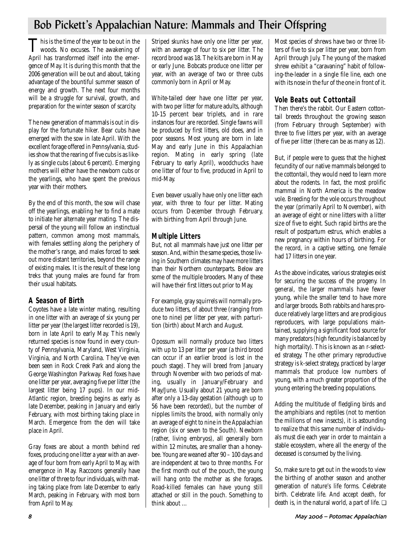## Bob Pickett's Appalachian Nature: Mammals and Their Offspring

This is the time of the year to be out in the<br>woods. No excuses. The awakening of April has transformed itself into the emergence of May. It is during this month that the 2006 generation will be out and about, taking advantage of the bountiful summer season of energy and growth. The next four months will be a struggle for survival, growth, and preparation for the winter season of scarcity.

The new generation of mammals is out in display for the fortunate hiker. Bear cubs have emerged with the sow in late April. With the excellent forage offered in Pennsylvania, studies show that the rearing of five cubs is as likely as single cubs (about 6 percent). Emerging mothers will either have the newborn cubs or the yearlings, who have spent the previous year with their mothers.

By the end of this month, the sow will chase off the yearlings, enabling her to find a mate to initiate her alternate year mating. The dispersal of the young will follow an instinctual pattern, common among most mammals, with females settling along the periphery of the mother's range, and males forced to seek out more distant territories, beyond the range of existing males. It is the result of these long treks that young males are found far from their usual habitats.

## **A Season of Birth**

Coyotes have a late winter mating, resulting in one litter with an average of six young per litter per year (the largest litter recorded is 19), born in late April to early May. This newly returned species is now found in every county of Pennsylvania, Maryland, West Virginia, Virginia, and North Carolina. They've even been seen in Rock Creek Park and along the George Washington Parkway. Red foxes have one litter per year, averaging five per litter (the largest litter being 17 pups). In our mid-Atlantic region, breeding begins as early as late December, peaking in January and early February, with most birthing taking place in March. Emergence from the den will take place in April.

Gray foxes are about a month behind red foxes, producing one litter a year with an average of four born from early April to May, with emergence in May. Raccoons generally have one litter of three to four individuals, with mating taking place from late December to early March, peaking in February, with most born from April to May.

Striped skunks have only one litter per year, with an average of four to six per litter. The record brood was 18. The kits are born in May or early June. Bobcats produce one litter per year, with an average of two or three cubs commonly born in April or May.

White-tailed deer have one litter per year, with two per litter for mature adults, although 10-15 percent bear triplets, and in rare instances four are recorded. Single fawns will be produced by first litters, old does, and in poor seasons. Most young are born in late May and early June in this Appalachian region. Mating in early spring (late February to early April), woodchucks have one litter of four to five, produced in April to mid-May.

Even beaver usually have only one litter each year, with three to four per litter. Mating occurs from December through February, with birthing from April through June.

## **Multiple Litters**

But, not all mammals have just one litter per season. And, within the same species, those living in Southern climates may have more litters than their Northern counterparts. Below are some of the multiple brooders. Many of these will have their first litters out prior to May.

For example, gray squirrels will normally produce two litters, of about three (ranging from one to nine) per litter per year, with parturition (birth) about March and August.

Opossum will normally produce two litters with up to 13 per litter per year (a third brood can occur if an earlier brood is lost in the pouch stage). They will breed from January through November with two periods of mating, usually in January/February and May/June. Usually about 21 young are born after only a 13-day gestation (although up to 56 have been recorded), but the number of nipples limits the brood, with normally only an average of eight to nine in the Appalachian region (six or seven to the South). Newborn (rather, living embryos), all generally born within 12 minutes, are smaller than a honeybee. Young are weaned after 90 – 100 days and are independent at two to three months. For the first month out of the pouch, the young will hang onto the mother as she forages. Road-killed females can have young still attached or still in the pouch. Something to think about …

Most species of shrews have two or three litters of five to six per litter per year, born from April through July. The young of the masked shrew exhibit a "caravaning" habit of following-the-leader in a single file line, each one with its nose in the fur of the one in front of it.

## **Vole Beats out Cottontail**

Then there's the rabbit. Our Eastern cottontail breeds throughout the growing season (from February through September) with three to five litters per year, with an average of five per litter (there can be as many as 12).

But, if people were to guess that the highest fecundity of our native mammals belonged to the cottontail, they would need to learn more about the rodents. In fact, the most prolific mammal in North America is the meadow vole. Breeding for the vole occurs throughout the year (primarily April to November), with an average of eight or nine litters with a litter size of five to eight. Such rapid births are the result of postpartum estrus, which enables a new pregnancy within hours of birthing. For the record, in a captive setting, one female had 17 litters in one year.

As the above indicates, various strategies exist for securing the success of the progeny. In general, the larger mammals have fewer young, while the smaller tend to have more and larger broods. Both rabbits and hares produce relatively large litters and are prodigious reproducers, with large populations maintained, supplying a significant food source for many predators (high fecundity is balanced by high mortality). This is known as an r-selected strategy. The other primary reproductive strategy is k-select strategy, practiced by larger mammals that produce low numbers of young, with a much greater proportion of the young entering the breeding populations.

Adding the multitude of fledgling birds and the amphibians and reptiles (not to mention the millions of new insects), it is astounding to realize that this same number of individuals must die each year in order to maintain a stable ecosystem, where all the energy of the deceased is consumed by the living.

So, make sure to get out in the woods to view the birthing of another season and another generation of nature's life forms. Celebrate birth. Celebrate life. And accept death, for death is, in the natural world, a part of life.  $\Box$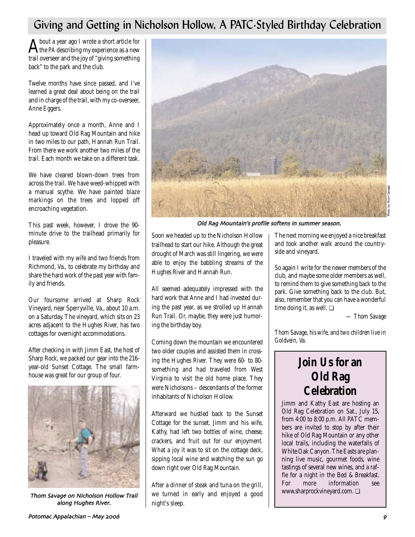## Giving and Getting in Nicholson Hollow, A PATC-Styled Birthday Celebration

**A** bout a year ago I wrote a short article for<br>the *PA* describing my experience as a new trail overseer and the joy of "giving something back" to the park and the club.

Twelve months have since passed, and I've learned a great deal about being on the trail and in charge of the trail, with my co-overseer, Anne Eggers.

Approximately once a month, Anne and I head up toward Old Rag Mountain and hike in two miles to our path, Hannah Run Trail. From there we work another two miles of the trail. Each month we take on a different task.

We have cleared blown-down trees from across the trail. We have weed-whipped with a manual scythe. We have painted blaze markings on the trees and lopped off encroaching vegetation.

This past week, however, I drove the 90 minute drive to the trailhead primarily for pleasure.

I traveled with my wife and two friends from Richmond, Va., to celebrate my birthday and share the hard work of the past year with family and friends.

Our foursome arrived at Sharp Rock Vineyard, near Sperryville, Va., about 10 a.m. on a Saturday. The vineyard, which sits on 23 acres adjacent to the Hughes River, has two cottages for overnight accommodations.

After checking in with Jimm East, the host of Sharp Rock, we packed our gear into the 216 year-old Sunset Cottage. The small farmhouse was great for our group of four.



Thom Savage on Nicholson Hollow Trail along Hughes River.



Old Rag Mountain's profile softens in summer season.

Soon we headed up to the Nicholson Hollow trailhead to start our hike. Although the great drought of March was still lingering, we were able to enjoy the babbling streams of the Hughes River and Hannah Run.

All seemed adequately impressed with the hard work that Anne and I had invested during the past year, as we strolled up Hannah Run Trail. Or, maybe, they were just humoring the birthday boy.

Coming down the mountain we encountered two older couples and assisted them in crossing the Hughes River. They were 60- to 80 something and had traveled from West Virginia to visit the old home place. They were Nicholsons – descendants of the former inhabitants of Nicholson Hollow.

Afterward we hustled back to the Sunset Cottage for the sunset. Jimm and his wife, Kathy, had left two bottles of wine, cheese, crackers, and fruit out for our enjoyment. What a joy it was to sit on the cottage deck, sipping local wine and watching the sun go down right over Old Rag Mountain.

After a dinner of steak and tuna on the grill, we turned in early and enjoyed a good night's sleep.

The next morning we enjoyed a nice breakfast and took another walk around the countryside and vineyard.

So again I write for the newer members of the club, and maybe some older members as well, to remind them to give something back to the park. Give something back to the club. But, also, remember that you can have a wonderful time doing it, as well. ❏

*— Thom Savage*

*Thom Savage, his wife, and two children live in Goldvein, Va.* 

## **Join Us for an Old Rag Celebration**

Jimm and Kathy East are hosting an Old Rag Celebration on Sat., July 15, from 4:00 to 8:00 p.m. All PATC members are invited to stop by after their hike of Old Rag Mountain or any other local trails, including the waterfalls of White Oak Canyon. The Easts are planning live music, gourmet foods, wine tastings of several new wines, and a raffle for a night in the Bed & Breakfast. For more information see www.sharprockvineyard.com. ❏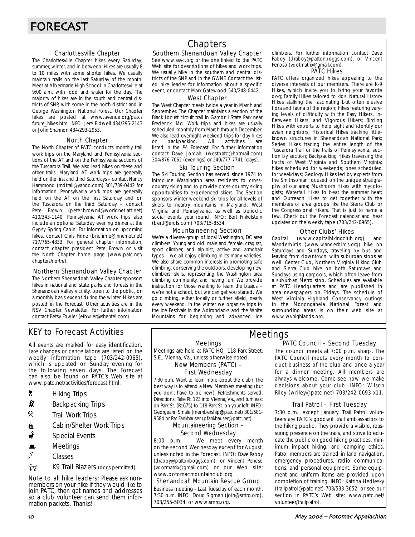#### Charlottesville Chapter

The Charlottesville Chapter hikes every Saturday; summer, winter, and in between. Hikes are usually 8 to 10 miles with some shorter hikes. We usually maintain trails on the last Saturday of the month. Meet at Albermarle High School in Charlottesville at 9:00 a.m. with food and water for the day. The majority of hikes are in the south and central districts of SNP, with some in the north district and in George Washington National Forest. Our Chapter hikes are posted at www.avenue.org/patc/ future\_hikes.htm. INFO: Jere Bidwell 434/295-2143 or John Shannon 434/293-2953.

#### North Chapter

The North Chapter of PATC conducts monthly trail work trips on the Maryland and Pennsylvania sections of the AT and on the Pennsylvania sections of the Tuscarora Trail. We also lead hikes on these and other trails. Maryland AT work trips are generally held on the first and third Saturdays – contact Nancy Hammond (mdtrail@yahoo.com) 301/739-0442 for information. Pennsylvania work trips are generally held on the AT on the first Saturday and on the Tuscarora on the third Saturday – contact Pete Brown (peter.brown4@worldnet.att.net) 410/343-1140. Pennsylvania AT work trips also include an optional Saturday evening dinner at the Gypsy Spring Cabin. For information on upcoming hikes, contact Chris Firme (bncfirme@innernet.net) 717/765-4833. For general chapter information, contact chapter president Pete Brown or visit the North Chapter home page (www.patc.net/ chapters/north/).

#### Northern Shenandoah Valley Chapter

The Northern Shenandoah Valley Chapter sponsors hikes in national and state parks and forests in the Shenandoah Valley vicinity, open to the public, on a monthly basis except during the winter. Hikes are posted in the Forecast. Other activities are in the NSV Chapter Newsletter. For further information contact Betsy Fowler (efowler@shentel.com).

## KEY to Forecast Activities

All events are marked for easy identification. Late changes or cancellations are listed on the weekly information tape (703/242-0965), which is updated on Sunday evening for the following seven days. The Forecast can also be found on PATC's Web site at www.patc.net/activities/forecast.html.

- ` Hiking Trips
- $\dot{\mathbf{M}}$  Backpacking Trips
- $\mathcal{R}$  Trail Work Trips
- $\frac{1}{m}$  Cabin/Shelter Work Trips
- $\frac{3}{\sqrt{2}}$  Special Events
- $\blacksquare$  Meetings
- $\mathcal{O}$  Classes
- **Azim** K9 Trail Blazers (dogs permitted)

Note to all hike leaders: Please ask nonmembers on your hike if they would like to join PATC, then get names and addresses so a club volunteer can send them information packets. Thanks!

## **Chapters**

#### Southern Shenandoah Valley Chapter

See www.ssvc.org or the one linked to the PATC Web site for descriptions of hikes and work trips. We usually hike in the southern and central districts of the SNP and in the GWNF. Contact the listed hike leader for information about a specific event, or contact Mark Gatewood 540/248-0442.

#### West Chapter

The West Chapter meets twice a year in March and September. The Chapter maintains a section of the Black Locust circuit trail in Gambrill State Park near Frederick, Md. Work trips and hikes are usually scheduled monthly from March through December. We also lead overnight weekend trips for day hikes<br>or backpacking. All activities are or backpacking. All activities are listed in the PA Forecast. For further information contact Dave Jordahl (westpatc@hotmail.com) 304/876-7062 (evenings) or 240/777-7741 (days).

#### Ski Touring Section

The Ski Touring Section has served since 1974 to introduce Washington area residents to crosscountry skiing and to provide cross-country skiing opportunities to experienced skiers. The Section sponsors winter weekend ski trips for all levels of skiers to nearby mountains in Maryland, West Virginia and Pennsylvania, as well as periodic social events year round. INFO: Bert Finkelstein (bertf@erols.com) 703/715-8534.

#### Mountaineering Section

We're a diverse group of local Washington, DC area climbers. Young and old, male and female, crag rat, sport climber, and alpinist, active and armchair types – we all enjoy climbing in its many varieties. We also share common interests in promoting safe climbing, conserving the outdoors, developing new climbers' skills, representing the Washington area climbing community, and having fun! We provide instruction for those wanting to learn the basics – we're not a school, but we can get you started. We go climbing, either locally or further afield, nearly every weekend. In the winter we organize trips to the Ice Festivals in the Adirondacks and the White Mountains for beginning and advanced ice climbers. For further information contact Dave Raboy (draboy@pattonboggs.com), or Vincent Penoso (vdotmatrix@gmail.com).

#### PATC Hikes

PATC offers organized hikes appealing to the diverse interests of our members. There are K-9 Hikes, which invite you to bring your favorite dog; Family Hikes tailored to kids; Natural History Hikes stalking the fascinating but often elusive flora and fauna of the region; hikes featuring varying levels of difficulty with the Easy Hikers, In-Between Hikers, and Vigorous Hikers; Birding Hikes with experts to help sight and identify our avian neighbors; Historical Hikes tracking littleknown structures in Shenandoah National Park; Series Hikes tracing the entire length of the Tuscarora Trail or the trails of Pennsylvania, section by section; Backpacking Hikes traversing the tracts of West Virginia and Southern Virginia; hikes scheduled for weekends; ones scheduled for weekdays; Geology Hikes led by experts from the Smithsonian focused on the unique stratigraphy of our area; Mushroom Hikes with mycologists; Waterfall Hikes to beat the summer heat; and Outreach Hikes to get together with the members of area groups like the Sierra Club or the Congressional Hikers. That is just to name a few. Check out the Forecast calendar and hear updates on the weekly tape (703/242-0965).

#### Other Clubs' Hikes

Capital (www.capitalhikingclub.org) and Wanderbirds (www.wanderbirds.org) hike on Saturdays and Sundays, traveling by bus and leaving from downtown, with suburban stops as well. Center Club, Northern Virginia Hiking Club and Sierra Club hike on both Saturdays and Sundays using carpools, which often leave from a suburban Metro stop. Schedules are available at PATC Headquarters and are published in area newspapers on Fridays. The schedule of West Virginia Highland Conservancy outings in the Monongahela National Forest and surrounding areas is on their web site at www.wvhighlands.org.

## Meetings

Meetings are held at PATC HQ, 118 Park Street, S.E., Vienna, Va., unless otherwise noted.

New Members (PATC) –

## First Wednesday

7:30 p.m. Want to learn more about the club? The best way is to attend a New Members meeting (but you don't have to be new). Refreshments served. Directions: Take Rt. 123 into Vienna, Va., and turn east on Park St. (Rt.675) to 118 Park St. on your left. INFO: Georgeann Smale (membership@patc.net) 301/581- 9584 or Pat Fankhauser (pfankhauser@patc.net).

#### Mountaineering Section – Second Wednesday

8:00 p.m. – We meet every month on the second Wednesday except for August, unless noted in the Forecast. INFO: Dave Raboy (draboy@pattonboggs.com), or Vincent Penoso (vdotmatrix@gmail.com) or our Web site: www.potomacmountainclub.org

### Shenandoah Mountain Rescue Group

Business meeting - Last Tuesday of each month, 7:30 p.m. INFO: Doug Sigman (join@smrg.org), 703/255-5034, or www.smrg.org.

### PATC Council – Second Tuesday Meetings

The council meets at 7:00 p.m. sharp. The PATC Council meets every month to conduct business of the club and once a year for a dinner meeting. All members are always welcome. Come see how we make decisions about your club. INFO: Wilson Riley (wriley@patc.net) 703/242-0693 x11.

### Trail Patrol – First Tuesday

7:30 p.m., except January. Trail Patrol volunteers are PATC's goodwill trail ambassadors to the hiking public. They provide a visible, reassuring presence on the trails, and strive to educate the public on good hiking practices, minimum impact hiking, and camping ethics. Patrol members are trained in land navigation, emergency procedures, radio communications, and personal equipment. Some equipment and uniform items are provided upon completion of training. INFO: Katrina Hedlesky (trailpatrol@patc.net) 703/533-3652, or see our section in PATC's Web site: www.patc.net/ volunteer/trailpatrol.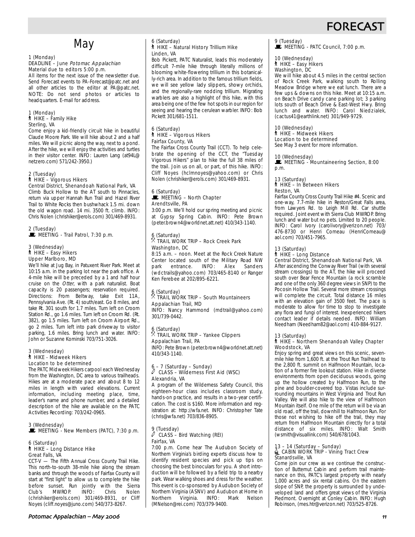

## **May**

#### 1 (Monday) DEADLINE – June Potomac Appalachian Material due to editors 5:00 p.m.

All items for the next issue of the newsletter due. Send Forecast events to PA-Forecast@patc.net and all other articles to the editor at PA@patc.net. NOTE: Do not send photos or articles to headquarters. E-mail for address.

#### 1 (Monday)  $*$  HIKE – Family Hike Sterling, VA

Come enjoy a kid-friendly circuit hike in beautiful Claude Moore Park. We will hike about 2 and a half miles. We will picnic along the way, next to a pond. After the hike, we will enjoy the activities and turtles in their visitor center. INFO: Lauren Lang (at94L@ netzero.com) 571/242-3950.)

#### 2 (Tuesday) ` HIKE – Vigorous Hikers

Central District, Shenandoah National Park, VA Climb Buck Hollow to the AT south to Pinnacles, return via upper Hannah Run Trail and Hazel River Trail to White Rocks then bushwhack 1.5 mi. down the old wagon road. 14 mi. 3500 ft. climb. INFO: Chris Nolen (chrishiker@erols.com) 301/469-8931.

#### 2 (Tuesday)  $\mathbf{\mathbf{\mathsf{\mathsf{\mathsf{E}}}}}$  MEETING - Trail Patrol, 7:30 p.m.

3 (Wednesday) ` HIKE – Easy Hikers Upper Marlboro, MD

We'll hike at Jug Bay, in Patuxent River Park. Meet at 10:15 a.m. in the parking lot near the park office. A 4-mile hike will be preceded by a 1 and half hour cruise on the Otter, with a park naturalist. Boat capacity is 20 passengers; reservation required. Directions: From Beltway, take Exit 11A, Pennsylvania Ave. (Rt. 4) south/east. Go 8 miles, and take Rt. 301 south for 1.7 miles. Turn left on Croom Station Rd., go 1.6 miles. Turn left on Croom Rd. (Rt. 382), go 1.5 miles. Turn left on Croom Airport Rd., go 2 miles. Turn left into park driveway to visitor parking, 1.6 miles. Bring lunch and water. INFO: John or Suzanne Kominski 703/751-3026.

#### 3 (Wednesday) ` HIKE - Midweek Hikers Location to be determined

The PATC Midweek Hikers carpool each Wednesday from the Washington, DC area to various trailheads. Hikes are at a moderate pace and about 8 to 12 miles in length with varied elevations. Current information, including meeting place, time, leader's name and phone number, and a detailed description of the hike are available on the PATC Activities Recording: 703/242-0965.

## 3 (Wednesday)

 $\mathbf{\mathbf{\mathbb{E}}}$  MEETING - New Members (PATC), 7:30 p.m.

#### 6 (Saturday) ` HIKE – Long Distance Hike Great Falls, VA

CCT-V — The Fifth Annual Cross County Trail Hike. This north-to-south 38-mile hike along the stream banks and through the woods of Fairfax County will start at "first light" to allow us to complete the hike before sunset. Run jointly with the Sierra<br>Club's MWROP. INFO: Chris Nolen MWROP. (chrishiker@erols.com) 301/469-8931, or Cliff Noyes (cliff.noyes@juno.com) 540/373-8267.

#### Potomac Appalachian – May &&

#### 6 (Saturday) ` HIKE – Natural History Trillium Hike Linden, VA

Bob Pickett, PATC Naturalist, leads this moderately difficult 7-mile hike through literally millions of blooming white-flowering trillium in this botanically-rich area. In addition to the famous trillium fields, we will see yellow lady slippers, showy orchids, and the regionally-rare nodding trillium. Migrating warblers are also a highlight of this hike, with this area being one of the few hot spots in our region for seeing and hearing the cerulean warbler. INFO: Bob Pickett 301/681-1511.

## 6 (Saturday) ` HIKE – Vigorous Hikers Fairfax County, VA

The Fairfax Cross County Trail (CCT). To help celebrate the opening of the CCT, the "Tuesday Vigorous Hikers" plan to hike the full 38 miles of the trail. Join us on all, or part, of this hike. INFO: Cliff Noyes (hclmnoyes@yahoo.com) or Chris Nolen (chrishiker@erols.com) 301/469-8931.

#### 6 (Saturday)  $\blacksquare$  MEETING – North Chapter Arendtsville, PA

3:00 p.m. We'll hold our spring meeting and picnic at Gypsy Spring Cabin. INFO: Pete Brown (peter.brown4@worldnet.att.net) 410/343-1140.

#### $6 \times 5$  (Saturday) . TRAIL WORK TRIP – Rock Creek Park Washington, DC

8:15 a.m. – noon. Meet at the Rock Creek Nature Center located south of the Military Road NW park entrance. INFO: Alex Sanders (wdctrails@yahoo.com) 703/465-8140 or Ranger Ken Ferebee at 202/895-6221.

#### $6 \over 8$  (Saturday) . TRAIL WORK TRIP – South Mountaineers Appalachian Trail, MD

INFO: Nancy Hammond (mdtrail@yahoo.com) 301/739-0442.

## 6 (Saturday) . TRAIL WORK TRIP – Yankee Clippers Appalachian Trail, PA

INFO: Pete Brown (peter.brown4@worldnet.att.net) 410/343-1140.

#### 6 – 7 (Saturday – Sunday)  $\ell$  CLASS – Wilderness First Aid (WSC) Alexandria, VA

A program of the Wilderness Safety Council, this eighteen-hour class includes classroom study, hands-on practice, and results in a two-year certification. The cost is \$160. More information and registration at: http://wfa.net. INFO: Christopher Tate (chris@wfa.net) 703/836-8905.

## 9 (Tuesday) a CLASS – Bird Watching (REI) Fairfax, VA

7:00 p.m. Come hear The Audubon Society of Northern Virginia's birding experts discuss how to identify resident species and pick up tips on choosing the best binoculars for you. A short introduction will be followed by a field trip to a nearby park. Wear walking shoes and dress for the weather. This event is co-sponsored by Audubon Society of Northern Virginia (ASNV) and Audubon at Home in Northern Virginia. INFO: Mark Nelson (MNelson@rei.com) 703/379-9400.

## 9 (Tuesday)<br>■ MEETING - PATC Council, 7:00 p.m.

#### 10 (Wednesday) ` HIKE – Easy Hikers

Washington, DC

We will hike about 4.5 miles in the central section of Rock Creek Park, walking south to Rolling Meadow Bridge where we eat lunch. There are a few ups & downs on this hike. Meet at 10:15 a.m. on Beach Drive candy cane parking lot; 3 parking lots south of Beach Drive & East-West Hwy. Bring lunch and water. INFO: Carol Niedzialek, (cactus41@earthlink.net) 301/949-9729.

## 10 (Wednesday)

#### ` HIKE – Midweek Hikers Location to be determined

See May 3 event for more information.

#### 10 (Wednesday)

MEETING - Mountaineering Section, 8:00 p.m.

## 13 (Saturday)<br>┆ HIKE – In Between Hikers Reston, VA

Fairfax County Cross County Trail Hike #4. Scenic and one-way, 7.7-mile hike in Reston/Great Falls area, from Lawyers Rd. to Leigh Mill Rd. Car shuttle required. Joint event with Sierra Club MWROP. Bring lunch and water but no pets. Limited to 20 people. INFO: Carol Ivory (carolivory@verizon.net) 703/ 476-8730 or Henri Comeau (HenriComeau@ aol.com) 703/451-7965.

#### 13 (Saturday)

#### ` HIKE – Long Distance

#### Central District, Shenandoah National Park, VA

After ascending the Conway River Trail (with several stream crossings) to the AT, the hike will proceed south over Bear Fence Mountain (a rock scramble and one of the only 360 degree views in SNP) to the Pocosin Hollow Trail. Several more stream crossings will complete the circuit. Total distance 16 miles with an elevation gain of 3500 feet. The pace is moderate to allow for time to stop to investigate any flora and fungi of interest. Inexperienced hikers contact leader if details needed. INFO: William Needham (Needham82@aol.com) 410-884-9127.

#### 13 (Saturday)

#### ` HIKE – Northern Shenandoah Valley Chapter Woodstock, VA

Enjoy spring and great views on this scenic, sevenmile hike from 1,600 ft. at the Trout Run Trailhead to the 2,800 ft. summit on Halfmoon Mountain, location of a former fire lookout station. Hike in diverse environments from open deciduous woods, going up the hollow created by Halfmoon Run, to the pine and boulder-covered top. Vistas include surrounding mountains in West Virginia and Trout Run Valley. We will also hike to the view of Halfmoon Mountain itself. One mile of the return will be via an old road, off the trail, downhill to Halfmoon Run. For those not wishing to hike off the trail, they may return from Halfmoon Mountain directly for a total distance of six miles. INFO: Walt Smith (wsmith@visuallink.com) 540/678/1043.

## 13 – 14 (Saturday – Sunday)<br>
CABIN WORK TRIP - Vining Tract Crew Stanardsville, VA

Come join our crew as we continue the construction of Butternut Cabin and perform trail maintenance on this, PATC's largest property with nearly 1,000 acres and six rental cabins. On the eastern slope of SNP, the property is surrounded by undeveloped land and offers great views of the Virginia Piedmont. Overnight at Conley Cabin. INFO: Hugh Robinson, (mes.htr@verizon.net) 703/525-8726.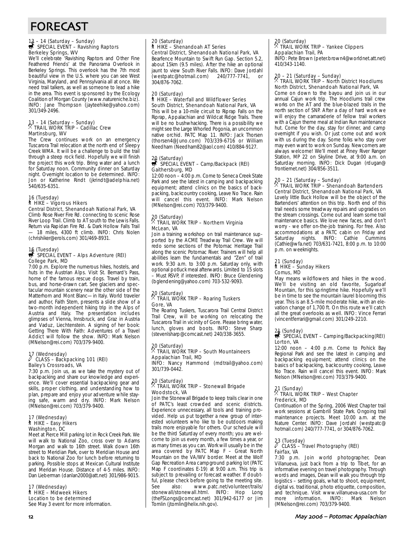## FORECAST

## 13 – 14 (Saturday – Sunday)<br>₩ SPECIAL EVENT – Ravishing Raptors Berkeley Springs, WV

We'll celebrate 'Ravishing Raptors and Other Fine Feathered Friends' at the Panorama Overlook in Berkeley Springs. This overlook has the 7th most beautiful view in the U.S. where you can see West Virginia, Maryland, and Pennsylvania all at once. We need trail talkers, as well as someone to lead a hike in the area. This event is sponsored by the Ecology Coalition of Morgan County (www.natureniche.biz). INFO: Jane Thompson (jayteehike@yahoo.com) 301/349-2496.

## 13 – 14 (Saturday – Sunday) . TRAIL WORK TRIP – Cadillac Crew Martinsburg, WV

The Crew continues work on an emergency Tuscarora Trail relocation at the north end of Sleepy Creek WMA. It will be a challenge to build the trail through a steep rock field. Hopefully we will finish the project this work trip. Bring water and a lunch for Saturday noon. Community dinner on Saturday night. Overnight location to be determined. INFO: Jon or Katherine Rindt (jkrindt@adelphia.net) 540/635-6351.

#### 16 (Tuesday) ` HIKE – Vigorous Hikers Central District, Shenandoah National Park, VA

Climb Rose River Fire Rd. connecting to scenic Rose River Loop Trail. Climb to AT south to the Lewis Falls. Return via Rapidan Fire Rd. & Dark Hollow Falls Trail 18 miles, 4300 ft climb. INFO: Chris Nolen (chrishiker@erols.com) 301/469-8931.

## 16 (Tuesday)<br>第 SPECIAL EVENT – Alps Adventure (REI) College Park, MD

7:00 p.m. Explore the numerous hikes, hostels, and huts in the Austrian Alps. Visit St. Bernard's Pass, home of the famous rescue dogs. Travel by train, bus, and horse-drawn cart. See glaciers and spectacular mountain scenery near the other side of the Matterhorn and Mont Blanc-in Italy. World traveler and author, Faith Stern, presents a slide show of a two-month independent hiking trip in the Alps of Austria and Italy. The presentation includes glimpses of Vienna, Innsbruck, and Graz in Austria and Vaduz, Liechtenstein. A signing of her book: Getting There With Faith: Adventures of a Travel Addict will follow the show. INFO: Mark Nelson (MNelson@rei.com) 703/379-9400.

## 17 (Wednesday) a CLASS – Backpacking 101 (REI) Bailey's Crossroads, VA

7:30 p.m. Join us, as we take the mystery out of backpacking and share our knowledge and experience. We'll cover essential backpacking gear and skills, proper clothing, and understanding how to plan, prepare and enjoy your adventure while staying safe, warm and dry. INFO: Mark Nelson (MNelson@rei.com) 703/379-9400.

#### 17 (Wednesday) ` HIKE – Easy Hikers Washington, DC

Meet at Pierce Mill parking lot in Rock Creek Park. We will walk to National Zoo, cross over to Adams Morgan and walk to 16th street. Walk down 16th street to Meridian Park, over to Meridian House and back to National Zoo for lunch before returning to parking. Possible stops at Mexican Cultural Institute and Meridan House. Distance of 4-5 miles. INFO: Dan Lieberman (danlan2000@att.net) 301/986-9015.

17 (Wednesday) ` HIKE – Midweek Hikers Location to be determined See May 3 event for more information.

#### 20 (Saturday) ` HIKE – Shenandoah AT Series

Central District, Shenandoah National Park, VA Bearfence Mountain to Swift Run Gap. Section 5.2, about 15km (9.5 miles). After the hike an optional jaunt to view South River Falls. INFO: Dave Jordahl (westpatc@hotmail.com) 240/777-7741, or 304/876-7062.

#### 20 (Saturday) ` HIKE – Waterfall and Wildflower Series South District, Shenandoah National Park, VA

This will be a 10-mile circuit to Riprap Falls on the Riprap, Appalachian and Wildcat Ridge Trails. There will be no bushwhacking. There is a possibility we might see the Large Whorled Pogonia, an uncommon native orchid. PATC Map 11. INFO: Jack Thorsen (thorsen4@Juno.com) 703/339-6716 or William Needham (Needham82@aol.com) 410/884-9127.

## 20 (Saturday)<br> SPECIAL EVENT – Camp/Backpack (REI) Gaithersburg, MD

12:00 noon – 4:00 p.m. Come to Seneca Creek State Park and see the latest in camping and backpacking equipment; attend clinics on the basics of backpacking, backcountry cooking, Leave No Trace. Rain will cancel this event. INFO: Mark Nelson (MNelson@rei.com) 703/379-9400.

## 20 (Saturday) . TRAIL WORK TRIP – Northern Virginia McLean, VA

Join a training workshop on trail maintenance supported by the ACME Treadway Trail Crew. We will redo some sections of the Potomac Heritage Trail along the scenic Potomac River. Trainers will help all abilities learn the fundamentals and "Zen" of trail work. 9:30 a.m. to 3:00 p.m. Saturday only, with optional potluck meal afterwards. Limited to 15 slots – Must RSVP, if interested. INFO: Bruce Glendening (bglendening@yahoo.com) 703-532-9093.

### 20 (Saturday) . TRAIL WORK TRIP – Roaring Tuskers Gore, VA

The Roaring Tuskers, Tuscarora Trail Central District Trail Crew, will be working on relocating the Tuscarora Trail in vicinity of Gore. Please bring water, lunch, gloves and boots. INFO: Steve Sharp (stevenlsharp@comcast.net) 240/338-3655.

#### 20 (Saturday) . TRAIL WORK TRIP – South Mountaineers Appalachian Trail, MD

INFO: Nancy Hammond (mdtrail@yahoo.com) 301/739-0442.

#### 20 (Saturday) TRAIL WORK TRIP - Stonewall Brigade Woodstock, VA

Join the Stonewall Brigade to keep trails clear in one of PATC's least crowded and scenic districts. Experience unnecessary, all tools and training provided. Help us put together a new group of interested volunteers who like to be outdoors making trails more enjoyable for others. Our schedule will be the third Saturday of every month; you are welcome to join us every month, a few times a year, or as many times as you can. Work will usually be in the area covered by PATC Map F – Great North Mountain on the VA/WV border. Meet at the Wolf Gap Recreation Area campground parking lot (PATC Map F coordinates E-19) at 9:00 a.m. This trip is subject to prevailing or forecast weather. If doubtful, please check before going to the meeting site. See also: www.patc.net/volunteer/trails/ stonewall/stonewall.html. INFO: Hop Long (theFSLongs@comcast.net) 301/942-6177 or Jim Tomlin (jtomlin@helix.nih.gov).

#### 20 (Saturday) . TRAIL WORK TRIP – Yankee Clippers Appalachian Trail, PA

INFO: Pete Brown (peter.brown4@worldnet.att.net) 410/343-1140.

## 20 – 21 (Saturday – Sunday) . TRAIL WORK TRIP – North District Hoodlums

## North District, Shenandoah National Park, VA

Come on down to the bayou and join us in our annual Cajun work trip. The Hoodlums trail crew works on the AT and the blue-blazed trails in the north section of SNP. After a day of hard work we will enjoy the camaraderie of fellow trail workers with a Cajun theme meal at Indian Run maintenance hut. Come for the day, stay for dinner, and camp overnight if you wish. Or just come out and work with us during the day. Some folks who stay over may even want to work on Sunday. Newcomers are always welcome! We'll meet at Piney River Ranger Station, MP 22 on Skyline Drive, at 9:00 a.m. on Saturday morning. INFO: Dick Dugan (rdugan@ frontiernet.net) 304/856-3511.

## 20 – 21 (Saturday – Sunday) . TRAIL WORK TRIP – Shenandoah Bartenders Central District, Shenandoah National Park, VA

Lovely little Buck Hollow will be the object of the Bartenders' attention on this trip. North end of this trail needs some treadway repairs and upgrades on the stream crossings. Come out and learn some trail maintenance basics. We love new faces, and don't worry - we offer on-the-job training. For free. Also accommodations at a PATC cabin on Friday and Saturday nights. INFO: Cathie Cummins (Cathie@wfa.net) 703/631-7421, 8:00 p.m. to 10:00 p.m. on weeknights.

## 21 (Sunday) ` HIKE – Sunday Hikers Comus, MD

May means wildflowers and hikes in the wood. We'll be visiting an old favorite, Sugarloaf Mountain, for this springtime hike. Hopefully we'll be in time to see the mountain laurel blooming this year. This is an 8.5-mile moderate hike, with an elevation change of 1,700 ft. On this route we'll catch all the great overlooks as well. INFO: Vince Ferrari (vincentferrari@gmail.com) 301/249-2210.

## 21 (Sunday)<br>
SPECIAL EVENT – Camping/Backpacking(REI) Lorton, VA

12:00 noon – 4:00 p.m. Come to Pohick Bay Regional Park and see the latest in camping and backpacking equipment; attend clinics on the basics of backpacking, backcountry cooking, Leave No Trace. Rain will cancel this event. INFO: Mark Nelson (MNelson@rei.com) 703/379-9400.

### 21 (Sunday) . TRAIL WORK TRIP – West Chapter Frederick, MD

Continuation of the Spring, 2006 West Chapter trail work sessions at Gambrill State Park. Ongoing trail maintenance projects. Meet 10:00 a.m. at the Nature Center. INFO: Dave Jordahl (westpatc@ hotmail.com) 240/777-7741, or 304/876-7062.

## 23 (Tuesday) a CLASS – Travel Photography (REI) Fairfax, VA

7:30 p.m. Join world photographer, Dean Villanueva, just back from a trip to Tibet, for an informative evening on travel photography. Through words and images, Dean will walk you through trip logistics – setting goals, what to shoot, equipment, digital vs. traditional, photo etiquette, composition, and technique. Visit www.villanueva-usa.com for more information. INFO: Mark Nelson (MNelson@rei.com) 703/379-9400.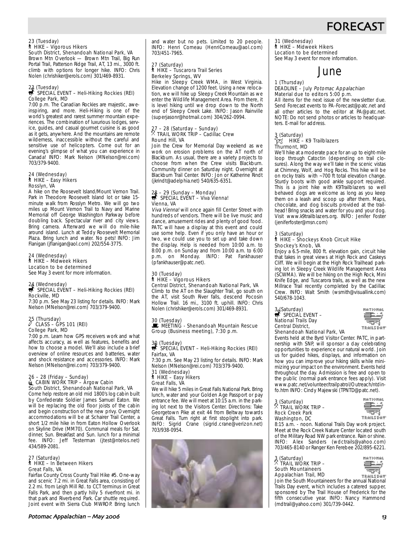

#### 23 (Tuesday) ` HIKE – Vigorous Hikers South District, Shenandoah National Park, VA

Brown Mtn Overlook — Brown Mtn Trail, Big Run Portal Trail, Patterson Ridge Trail, AT, 13 mi., 3000 ft. climb with options for longer hike. INFO: Chris Nolen (chrishiker@erols.com) 301/469-8931.

### 23 (Tuesday)<br>第 SPECIAL EVENT – Heli-Hiking Rockies (REI) College Park, MD

7:00 p.m. The Canadian Rockies are majestic, aweinspiring, and more. Heli-Hiking is one of the world's greatest and rarest summer mountain experiences. The combination of luxurious lodges, service, guides, and casual gourmet cuisine is as good as it gets, anywhere. And the mountains are remote wilderness, inaccessible without the careful and sensitive use of helicopters. Come out for an evening's glimpse of what you can experience in Canada! INFO: Mark Nelson (MNelson@rei.com) 703/379-9400.

#### 24 (Wednesday) ` HIKE – Easy Hikers Rosslyn, VA

A hike on the Roosevelt Island/Mount Vernon Trail. Park in Theodore Roosevelt Island lot or take 15 minute walk from Rosslyn Metro. We will go two miles up Mount Vernon Trail to Navy and Marine Memorial off George Washington Parkway before doubling back. Spectacular river and city views. Bring camera. Afterward we will do mile-hike around island. Lunch at Teddy Roosevelt Memorial Plaza. Bring lunch and water. No pets! INFO: Jim Flanigan (jflanigan@aol.com) 202/554-3775.

#### 24 (Wednesday) ` HIKE – Midweek Hikers Location to be determined

See May 3 event for more information.

## 24 (Wednesday)<br>第 SPECIAL EVENT – Heli-Hiking Rockies (REI) Rockville, MD

7:30 p.m. See May 23 listing for details. INFO: Mark Nelson (MNelson@rei.com) 703/379-9400.

## 25 (Thursday) a CLASS – GPS 101 (REI) College Park, MD

7:00 p.m. Learn how GPS receivers work and what affects accuracy, as well as features, benefits and how to choose a model. We'll also include a brief overview of online resources and batteries, water and shock resistance and accessories. INFO: Mark Nelson (MNelson@rei.com) 703/379-9400.

## 26 – 28 (Friday – Sunday)<br>Lamang Cabin Work TRIP – Argow Cabin South District, Shenandoah National Park, VA

Come help restore an old mid 1800's log cabin built by Confederate Soldier James Samuel Eaton. We will be replacing the old floor joists of the cabin and begin construction of the new privy. Overnight accommodations will be at Schairer Trail Center, a short 1/2 mile hike in from Eaton Hollow Overlook on Skyline Drive (MM70). Communal meals for Sat. dinner, Sun. Breakfast and Sun. lunch for a minimal fee. INFO: Jeff Testerman (jtest@ntelos.net) 434/589-2081.

#### 27 (Saturday) ` HIKE – In Between Hikers Great Falls, VA

Fairfax County Cross County Trail Hike #5. One-way and scenic 7.2 mi. in Great Falls area, consisting of 2.2 mi. from Leigh Mill Rd. to CCT terminus in Great Falls Park, and then partly hilly 5 riverfront mi. in that park and Riverbend Park. Car shuttle required. Joint event with Sierra Club MWROP. Bring lunch and water but no pets. Limited to 20 people. INFO: Henri Comeau (HenriComeau@aol.com) 703/451-7965.

#### 27 (Saturday) ` HIKE – Tuscarora Trail Series Berkeley Springs, WV

Hike in Sleepy Creek WMA, in West Virginia. Elevation change of 1200 feet. Using a new relocation, we will hike up Sleepy Creek Mountain as we enter the Wildlife Management Area. From there, it is level hiking until we drop down to the North end of Sleepy Creek Lake. INFO: Jason Rainville (superjasonr@hotmail.com) 304/262-0994.

## 27 – 28 (Saturday – Sunday) . TRAIL WORK TRIP – Cadillac Crew Round Hill, VA

Join the Crew for Memorial Day weekend as we work on erosion problems on the AT north of Blackburn. As usual, there are a variety projects to choose from when the Crew visits Blackburn. Community dinner on Saturday night. Overnight at Blackburn Trail Center. INFO: Jon or Katherine Rindt (jkrindt@adelphia.net) 540/635-6351.

## 28 – 29 (Sunday – Monday)<br>
SPECIAL EVENT – Viva Vienna! Vienna, VA

Viva Vienna! will once again fill Center Street with hundreds of vendors. There will be live music and dance, amusement rides and plenty of good food. PATC will have a display at this event and could use some help. Even if you only have an hour or two, we could use you to set up and take down the display. Help is needed from 10:00 a.m. to 8:00 p.m. on Sunday and from 10:00 a.m. to 6:00 p.m. on Monday. INFO: Pat Fankhauser (pfankhauser@patc.net).

## 30 (Tuesday) ` HIKE – Vigorous Hikers Central District, Shenandoah National Park, VA

Climb to the AT on the Slaughter Trail, go south on the AT, visit South River falls, descend Pocosin Hollow Trail. 16 mi., 3100 ft. uphill. INFO: Chris Nolen (chrishiker@erols.com) 301/469-8931.

30 (Tuesday) **WEETING - Shenandoah Mountain Rescue** Group (Business meeting), 7:30 p.m.

### 30 (Tuesday)<br>S SPECIAL EVENT – Heli-Hiking Rockies (REI) Fairfax, VA 7:30 p.m. See May 23 listing for details. INFO: Mark

Nelson (MNelson@rei.com) 703/379-9400. 31 (Wednesday)

` HIKE – Easy Hikers Great Falls, VA

We will hike 5 miles in Great Falls National Park. Bring lunch, water and your Golden Age Passport or pay entrance fee. We will meet at 10:15 a.m. in the parking lot next to the Visitors Center. Directions: Take Georgetown Pike at exit 44 from Beltway towards Great Falls. Turn right at first stoplight into park. INFO: Sigrid Crane (sigrid.crane@verizon.net) 703/938-0954.



#### 31 (Wednesday) ` HIKE – Midweek Hikers Location to be determined See May 3 event for more information.

## June

### 1 (Thursday)

#### DEADLINE – July Potomac Appalachian Material due to editors 5:00 p.m.

All items for the next issue of the newsletter due. Send Forecast events to PA-Forecast@patc.net and all other articles to the editor at PA@patc.net. NOTE: Do not send photos or articles to headquarters. E-mail for address.

#### 3 (Saturday)  $\sum_{i=1}^{n}$  HIKE – K9 Trailblazers Thurmont, MD

We'll hike at a moderate pace for an up to eight-mile loop through Catoctin (depending on trail closures). Along the way we'll take in the scenic vistas at Chimney, Wolf, and Hog Rocks. This hike will be on rocky trails with ~700 ft total elevation change. Sturdy boots with good ankle support required. This is a joint hike with K9Trailblazers so well behaved dogs are welcome as long as you keep them on a leash and scoop up after them. Maps, chocolate, and dog biscuits provided at the trailhead! Bring snacks and water for you and your dog. Visit www.k9trailblazers.org. INFO: Jenifer Foster (jeniferfoster@msn.com)

#### 3 (Saturday)

#### ` HIKE – Shockeys Knob Circuit Hike Shockey's Knob, VA

Enjoy a 6.5-mile, 800 ft. elevation gain, circuit hike that takes in great views at High Rock and Caskeys Cliff. We will begin at the High Rock Trailhead parking lot in Sleepy Creek Wildlife Management Area (SCWMA). We will be hiking on the High Rock, Mini Knife Edge, and Tuscarora trails, as well as the new Millrace Trail recently completed by the Cadillac Crew. INFO: Walt Smith (wsmith@visuallink.com) 540/678-1043.

#### 3 (Saturday)<br>**s** SPECIAL EVENT – National Trails Day Central District, Shenandoah National Park, VA



Events held at the Byrd Visitor Center. PATC, in partnership with SNP, will sponsor a day celebrating opportunities to experience our natural world. Join us for guided hikes, displays, and information on how you can improve your hiking skills while minimizing your impact on the environment. Events held throughout the day. Admission is free and open to the public (normal park entrance fees apply). Visit www.patc.net/volunteer/trailpatrol/Outreach/ntdinfo.htm INFO: Cindy Majewski (TPNTD@patc.net).

### 3 (Saturday) . TRAIL WORK TRIP – Rock Creek Park Washington, DC



8:15 a.m. - noon. National Trails Day work project. Meet at the Rock Creek Nature Center located south of the Military Road NW park entrance. Rain or shine. INFO: Alex Sanders (wdctrails@yahoo.com) 703/465-8140 or Ranger Ken Ferebee 202/895-6221.

### 3 (Saturday) . TRAIL WORK TRIP – South Mountaineers Appalachian Trail, MD



**Appalachian Trail, MD<br>Join the South Mountaineers for the annual National** Trails Day event, which includes a catered supper, sponsored by The Trail House of Frederick for the fifth consecutive year. INFO: Nancy Hammond (mdtrail@yahoo.com) 301/739-0442.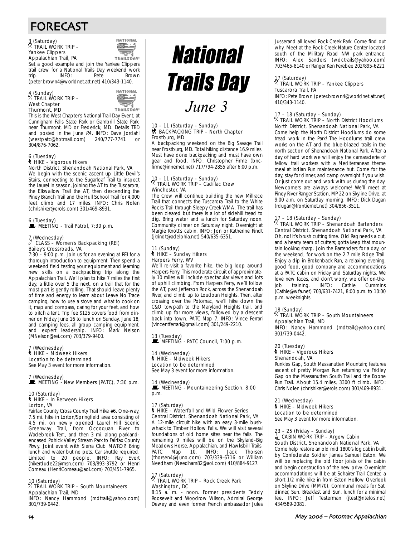## FORECAST

#### 3 (Saturday) . TRAIL WORK TRIP – Yankee Clippers Appalachian Trail, PA



Set a good example and join the Yankee Clippers trail crew for a National Trails Day weekend work<br>trip. INFO: Pete Brown trip. INFO: Pete Brown (peter.brown4@worldnet.att.net) 410/343-1140.

#### 4 (Sunday) . TRAIL WORK TRIP – West Chapter Thurmont, MD



This is the West Chapter's National Trail Day Event, at Cunnigham Falls State Park or Gambrill State Park; near Thurmont, MD or Frederick, MD. Details TBD and posted in the June PA. INFO: Dave Jordahl<br>(westpatc@hotmail.com) 240/777-7741 or (westpatc@hotmail.com) 240/777-7741 or 304/876-7062.

#### 6 (Tuesday) ` HIKE – Vigorous Hikers North District, Shenandoah National Park, VA

We begin with the scenic ascent up Little Devil's Stairs, connecting to the Sugarloaf Trail to inspect the Laurel in season, joining the AT to the Tuscarora, the Elkwallow Trail the AT, then descending the Piney Branch Trail and the Hull School Trail for 4,000 feet climb and 17 miles. INFO: Chris Nolen (chrishiker@erols.com) 301/469-8931.

6 (Tuesday) \MEETING - Trail Patrol, 7:30 p.m.

#### 7 (Wednesday) CLASS - Women's Backpacking (REI) Bailey's Crossroads, VA

7:30 – 9:00 p.m. Join us for an evening at REI for a thorough introduction to equipment. Then spend a weekend field testing your equipment and learning new skills on a backpacking trip along the Appalachian Trail. We'll plan to hike 7 miles the first day, a little over 5 the next, on a trail that for the most part is gently rolling. That should leave plenty of time and energy to learn about Leave No Trace camping, how to use a stove and what to cook on it, map and compass, caring for your feet, and how to pitch a tent. Trip fee \$125 covers food from dinner on Friday June 16 to lunch on Sunday, June 18, and camping fees, all group camping equipment, and expert leadership. INFO: Mark Nelson (MNelson@rei.com) 703/379-9400.

#### 7 (Wednesday) ` HIKE – Midweek Hikers Location to be determined

See May 3 event for more information.

#### 7 (Wednesday)  $\mathbf{\mathbf{\mathbf{\mathbb{E}}}}$  MEETING - New Members (PATC), 7:30 p.m.

## 10 (Saturday)<br>┆ HIKE – In Between Hikers Lorton, VA

Fairfax County Cross County Trail Hike #6. One-way, 7.5 mi. hike in Lorton/Springfield area consisting of 4.5 mi. on newly opened Laurel Hill Scenic Greenway Trail, from Occoquan River to Wadebrook Terr., and then 3 mi. along parklandencased Pohick Valley Stream Park to Fairfax County Pkwy. Joint event with Sierra Club MWROP. Bring lunch and water but no pets. Car shuttle required. Limited to 20 people. INFO: Ray Evert (hikerdude22@msn.com) 703/893-3792 or Henri Comeau (HenriComeau@aol.com) 703/451-7965.

## 10 (Saturday) . TRAIL WORK TRIP – South Mountaineers Appalachian Trail, MD

INFO: Nancy Hammond (mdtrail@yahoo.com) 301/739-0442.



#### 10 – 11 (Saturday – Sunday)  $\frac{1}{2}$  **BACKPACKING TRIP – North Chapter** Frostburg, MD

A backpacking weekend on the Big Savage Trail near Frostburg, MD. Total hiking distance 16.9 miles. Must have done backpacking and must have own gear and food. INFO: Christopher Firme (bncfirme@innernet.net) 717/794-2855 after 6:00 p.m.

### 10 – 11 (Saturday – Sunday) . TRAIL WORK TRIP – Cadillac Crew Winchester, VA

The Crew will continue building the new Millrace Trail that connects the Tuscarora Trail to the White Rocks Trail through Sleepy Creek WMA. The trail has been cleared but there is a lot of sidehill tread to dig. Bring water and a lunch for Saturday noon. Community dinner on Saturday night. Overnight at Margie Knott's cabin. INFO: Jon or Katherine Rindt (jkrindt@adelphia.net) 540/635-6351.

#### 11 (Sunday) ` HIKE – Sunday Hikers Harpers Ferry, WV

We'll re-visit a favorite hike, the big loop around Harpers Ferry. This moderate circuit of approximately 10 miles will include spectacular views and lots of uphill climbing. From Harpers Ferry, we'll follow the AT, past Jefferson Rock, across the Shenandoah River, and climb up to Loudoun Heights. Then, after crossing over the Potomac, we'll hike down the C&O towpath to the Maryland Heights trail, and climb up for more views, followed by a descent back into town. PATC Map 7. INFO: Vince Ferrari (vincentferrari@gmail.com) 301/249-2210.

13 (Tuesday)

WE MEETING - PATC Council, 7:00 p.m.

#### 14 (Wednesday) ` HIKE – Midweek Hikers Location to be determined See May 3 event for more information.

14 (Wednesday)

MEETING - Mountaineering Section, 8:00 p.m.

### 17 (Saturday) ` HIKE – Waterfall and Wild Flower Series Central District, Shenandoah National Park, VA

A 12-mile circuit hike with an easy 3-mile bushwhack to Timber Hollow Falls. We will visit several foundations of old home sites near the falls. The remaining 9 miles will be on the Skyland-Big Meadows Horse, Appalachian, and Hawksbill Trails.<br>PATC Map 10 INFO: Jack Thorsen Map 10. INFO: Jack Thorsen (thorsen4@Juno.com) 703/339-6716 or William Needham (Needham82@aol.com) 410/884-9127.

#### 17 (Saturday) . TRAIL WORK TRIP – Rock Creek Park Washington, DC

8:15 a. m. - noon. Former presidents Teddy Roosevelt and Woodrow Wilson, Admiral George Dewey and even former French ambassador Jules Jusserand all loved Rock Creek Park. Come find out why. Meet at the Rock Creek Nature Center located south of the Military Road NW park entrance. INFO: Alex Sanders (wdctrails@yahoo.com) 703/465-8140 or Ranger Ken Ferebee 202/895-6221.

## 17 (Saturday) . TRAIL WORK TRIP – Yankee Clippers Tuscarora Trail, PA

INFO: Pete Brown (peter.brown4@worldnet.att.net) 410/343-1140.

## 17 – 18 (Saturday – Sunday)<br><sup>X</sup> TRAIL WORK TRIP – North District Hoodlums North District, Shenandoah National Park, VA

Come help the North District Hoodlums do some tread work in the Park! The Hoodlums trail crew works on the AT and the blue-blazed trails in the north section of Shenandoah National Park. After a day of hard work we will enjoy the camaraderie of fellow trail workers with a Mediterranean theme meal at Indian Run maintenance hut. Come for the day, stay for dinner, and camp overnight if you wish. Or just come out and work with us during the day. Newcomers are always welcome! We'll meet at Piney River Ranger Station, MP 22 on Skyline Drive, at 9:00 a.m. on Saturday morning. INFO: Dick Dugan (rdugan@frontiernet.net) 304/856-3511.

### 17 – 18 (Saturday – Sunday) . TRAIL WORK TRIP – Shenandoah Bartenders Central District, Shenandoah National Park, VA

Oh, no! It's brush cutting time. Old Rag needs a cut, and a hearty team of cutters; gotta keep that mountain looking sharp. Join the Bartenders for a day, or the weekend, for work on the 2.7 mile Ridge Trail. Enjoy a dip in Brokenback Run, a relaxing evening, good food, good company and accommodations at a PATC cabin on Friday and Saturday nights. We love new faces, and don't worry, we offer on-thejob training. INFO: Cathie Cummins (Cathie@wfa.net) 703/631-7421, 8:00 p.m. to 10:00 p.m. weeknights.

## 18 (Sunday)

#### . TRAIL WORK TRIP – South Mountaineers Appalachian Trail, MD

INFO: Nancy Hammond (mdtrail@yahoo.com) 301/739-0442.

### 20 (Tuesday)

#### ` HIKE – Vigorous Hikers Shenandoah, VA

Runkles Gap, South Massanutten Mountain; features ascent of pretty Morgan Run returning via Fridley Gap on the Massanutten South Trail and the Boone Run Trail. About 15.4 miles, 3300 ft climb. INFO: Chris Nolen (chrishiker@erols.com) 301/469-8931.

#### 21 (Wednesday)

## ` HIKE – Midweek Hikers

Location to be determined See May 3 event for more information.

#### 23 – 25 (Friday – Sunday)  $\triangleq$  CABIN WORK TRIP – Argow Cabin South District, Shenandoah National Park, VA

Come help restore an old mid 1800's log cabin built by Confederate Soldier James Samuel Eaton. We will be replacing the old floor joists of the cabin and begin construction of the new privy. Overnight accommodations will be at Schairer Trail Center, a short 1/2 mile hike in from Eaton Hollow Overlook on Skyline Drive (MM70). Communal meals for Sat. dinner, Sun. Breakfast and Sun. lunch for a minimal fee. INFO: Jeff Testerman (jtest@ntelos.net) 434/589-2081.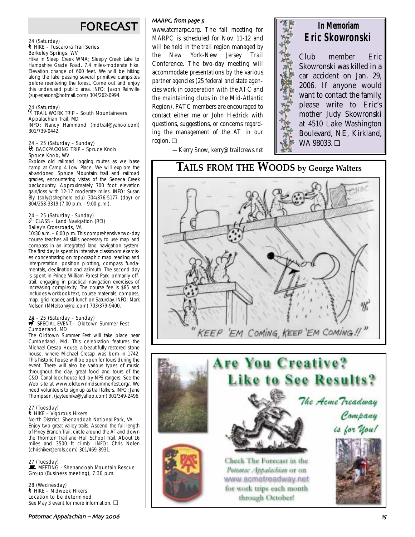## FORECAST

#### 24 (Saturday) ` HIKE – Tuscarora Trail Series Berkeley Springs, WV

Hike in Sleep Creek WMA; Sleepy Creek Lake to Hampshire Grade Road. 7.4 miles-moderate hike. Elevation change of 600 feet. We will be hiking along the lake passing several primitive campsites before reentering the forest. Come out and enjoy this underused public area. INFO: Jason Rainville (superjasonr@hotmail.com) 304/262-0994.

## 24 (Saturday) . TRAIL WORK TRIP – South Mountaineers Appalachian Trail, MD

INFO: Nancy Hammond (mdtrail@yahoo.com) 301/739-0442.

#### 24 – 25 (Saturday – Sunday) ~ BACKPACKING TRIP – Spruce Knob Spruce Knob, WV

Explore old railroad logging routes as we base camp at Camp 4 Low Place. We will explore the abandoned Spruce Mountain trail and railroad grades, encountering vistas of the Seneca Creek backcountry. Approximately 700 foot elevation gain/loss with 12-17 moderate miles. INFO: Susan Bly (sbly@shepherd.edu) 304/876-5177 (day) or 304/258-3319 (7:00 p.m. - 9:00 p.m.).

## 24 – 25 (Saturday - Sunday) a CLASS – Land Navigation (REI) Bailey's Crossroads, VA

10:30 a.m. – 6:00 p.m. This comprehensive two-day course teaches all skills necessary to use map and compass in an integrated land navigation system. The first day is spent in intensive classroom exercises concentrating on topographic map reading and interpretation, position plotting, compass fundamentals, declination and azimuth. The second day is spent in Prince William Forest Park, primarily offtrail, engaging in practical navigation exercises of increasing complexity. The course fee is \$85 and includes workbook text, course materials, compass, map, grid reader, and lunch on Saturday. INFO: Mark Nelson (MNelson@rei.com) 703/379-9400.

## 24 – 25 (Saturday – Sunday)<br>
SPECIAL EVENT – Oldtown Summer Fest Cumberland, MD

The Oldtown Summer Fest will take place near Cumberland, Md. This celebration features the Michael Cresap House, a beautifully restored stone house, where Michael Cresap was born in 1742. This historic house will be open for tours during the event. There will also be various types of music throughout the day, great food and tours of the C&O Canal lock house led by NPS rangers. See the Web site at www.oldtownmdsummerfest.org/. We need volunteers to sign up as trail talkers. INFO: Jane Thompson, (jayteehike@yahoo.com) 301/349-2496.

#### 27 (Tuesday) ` HIKE – Vigorous Hikers North District, Shenandoah National Park, VA

Enjoy two great valley trails. Ascend the full length of Piney Branch Trail, circle around the AT and down the Thornton Trail and Hull School Trail. About 16 miles and 3500 ft climb. INFO: Chris Nolen (chrishiker@erols.com) 301/469-8931.

27 (Tuesday) WEETING - Shenandoah Mountain Rescue Group (Business meeting), 7:30 p.m.

28 (Wednesday) ` HIKE – Midweek Hikers Location to be determined See May 3 event for more information. □

### MARPC, from page 5

www.atcmarpc.org. The fall meeting for MARPC is scheduled for Nov. 11-12 and will be held in the trail region managed by the New York-New Jersey Trail Conference. The two-day meeting will accommodate presentations by the various partner agencies (25 federal and state agencies work in cooperation with the ATC and the maintaining clubs in the Mid-Atlantic Region). PATC members are encouraged to contact either me or John Hedrick with questions, suggestions, or concerns regarding the management of the AT in our region. ❏

*—Kerry Snow, kerry@trailcrews.net*

## **In Memoriam Eric Skowronski**

Club member Eric Skowronski was killed in a car accident on Jan. 29, 2006. If anyone would want to contact the family, please write to Eric's mother Judy Skowronski at 4510 Lake Washington Boulevard, NE, Kirkland, WA 98033. ❏

**TAILS FROM THE WOODS by George Walters**



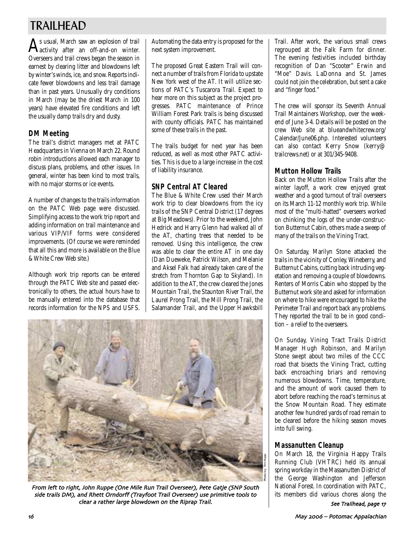## TRAILHEAD

As usual, March saw an explosion of trail activity after an off-and-on winter. Overseers and trail crews began the season in earnest by clearing litter and blowdowns left by winter's winds, ice, and snow. Reports indicate fewer blowdowns and less trail damage than in past years. Unusually dry conditions in March (may be the driest March in 100 years) have elevated fire conditions and left the usually damp trails dry and dusty.

## **DM Meeting**

The trail's district managers met at PATC Headquarters in Vienna on March 22. Round robin introductions allowed each manager to discuss plans, problems, and other issues. In general, winter has been kind to most trails, with no major storms or ice events.

A number of changes to the trails information on the PATC Web page were discussed. Simplifying access to the work trip report and adding information on trail maintenance and various VIP/VIF forms were considered improvements. (Of course we were reminded that all this and more is available on the Blue & White Crew Web site.)

Although work trip reports can be entered through the PATC Web site and passed electronically to others, the actual hours have to be manually entered into the database that records information for the NPS and USFS. Automating the data entry is proposed for the next system improvement.

The proposed Great Eastern Trail will connect a number of trails from Florida to upstate New York west of the AT. It will utilize sections of PATC's Tuscarora Trail. Expect to hear more on this subject as the project progresses. PATC maintenance of Prince William Forest Park trails is being discussed with county officials. PATC has maintained some of these trails in the past.

The trails budget for next year has been reduced, as well as most other PATC activities. This is due to a large increase in the cost of liability insurance.

## **SNP Central AT Cleared**

The Blue & White Crew used their March work trip to clear blowdowns from the icy trails of the SNP Central District (17 degrees at Big Meadows). Prior to the weekend, John Hedrick and Harry Glenn had walked all of the AT, charting trees that needed to be removed. Using this intelligence, the crew was able to clear the entire AT in one day (Dan Dueweke, Patrick Wilson, and Melanie and Aksel Falk had already taken care of the stretch from Thornton Gap to Skyland). In addition to the AT, the crew cleared the Jones Mountain Trail, the Staunton River Trail, the Laurel Prong Trail, the Mill Prong Trail, the Salamander Trail, and the Upper Hawksbill



From left to right, John Ruppe (One Mile Run Trail Overseer), Pete Gatje (SNP South side trails DM), and Rhett Orndorff (Trayfoot Trail Overseer) use primitive tools to clear a rather large blowdown on the Riprap Trail.

Trail. After work, the various small crews regrouped at the Falk Farm for dinner. The evening festivities included birthday recognition of Dan "Scooter" Erwin and "Moe" Davis. LaDonna and St. James could not join the celebration, but sent a cake and "finger food."

The crew will sponsor its Seventh Annual Trail Maintainers Workshop, over the weekend of June 3-4. Details will be posted on the crew Web site at blueandwhitecrew.org/ Calendar/June06.php. Interested volunteers can also contact Kerry Snow (kerry@ trailcrews.net) or at 301/345-9408.

## **Mutton Hollow Trails**

Back on the Mutton Hollow Trails after the winter layoff, a work crew enjoyed great weather and a good turnout of trail overseers on its March 11-12 monthly work trip. While most of the "multi-hatted" overseers worked on chinking the logs of the under-construction Butternut Cabin, others made a sweep of many of the trails on the Vining Tract.

On Saturday, Marilyn Stone attacked the trails in the vicinity of Conley, Wineberry, and Butternut Cabins, cutting back intruding vegetation and removing a couple of blowdowns. Renters of Morris Cabin who stopped by the Butternut work site and asked for information on where to hike were encouraged to hike the Perimeter Trail and report back any problems. They reported the trail to be in good condition – a relief to the overseers.

On Sunday, Vining Tract Trails District Manager Hugh Robinson, and Marilyn Stone swept about two miles of the CCC road that bisects the Vining Tract, cutting back encroaching briars and removing numerous blowdowns. Time, temperature, and the amount of work caused them to abort before reaching the road's terminus at the Snow Mountain Road. They estimate another few hundred yards of road remain to be cleared before the hiking season moves into full swing.

## **Massanutten Cleanup**

On March 18, the Virginia Happy Trails Running Club (VHTRC) held its annual spring workday in the Massanutten District of the George Washington and Jefferson National Forest. In coordination with PATC, its members did various chores along the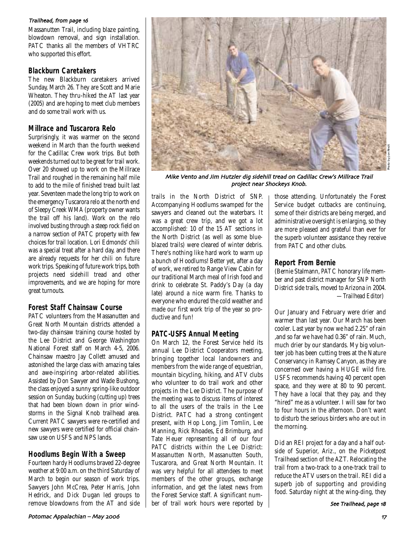### Trailhead, from page 16

Massanutten Trail, including blaze painting, blowdown removal, and sign installation. PATC thanks all the members of VHTRC who supported this effort.

## **Blackburn Caretakers**

The new Blackburn caretakers arrived Sunday, March 26. They are Scott and Marie Wheaton. They thru-hiked the AT last year (2005) and are hoping to meet club members and do some trail work with us.

## **Millrace and Tuscarora Relo**

Surprisingly, it was warmer on the second weekend in March than the fourth weekend for the Cadillac Crew work trips. But both weekends turned out to be great for trail work. Over 20 showed up to work on the Millrace Trail and roughed in the remaining half mile to add to the mile of finished tread built last year. Seventeen made the long trip to work on the emergency Tuscarora relo at the north end of Sleepy Creek WMA (property owner wants the trail off his land). Work on the relo involved busting through a steep rock field on a narrow section of PATC property with few choices for trail location. Lori Edmonds' chili was a special treat after a hard day, and there are already requests for her chili on future work trips. Speaking of future work trips, both projects need sidehill tread and other improvements, and we are hoping for more great turnouts.

## **Forest Staff Chainsaw Course**

PATC volunteers from the Massanutten and Great North Mountain districts attended a two-day chainsaw training course hosted by the Lee District and George Washington National Forest staff on March 4-5, 2006. Chainsaw maestro Jay Collett amused and astonished the large class with amazing tales and awe-inspiring arbor-related abilities. Assisted by Don Sawyer and Wade Bushong, the class enjoyed a sunny spring-like outdoor session on Sunday, bucking (cutting up) trees that had been blown down in prior windstorms in the Signal Knob trailhead area. Current PATC sawyers were re-certified and new sawyers were certified for official chainsaw use on USFS and NPS lands.

## **Hoodlums Begin With a Sweep**

Fourteen hardy Hoodlums braved 22-degree weather at 9:00 a.m. on the third Saturday of March to begin our season of work trips. Sawyers John McCrea, Peter Harris, John Hedrick, and Dick Dugan led groups to remove blowdowns from the AT and side



Mike Vento and Jim Hutzler dig sidehill tread on Cadillac Crew's Millrace Trail project near Shockeys Knob.

trails in the North District of SNP. Accompanying Hoodlums swamped for the sawyers and cleaned out the waterbars. It was a great crew trip, and we got a lot accomplished: 10 of the 15 AT sections in the North District (as well as some blueblazed trails) were cleared of winter debris. There's nothing like hard work to warm up a bunch of Hoodlums! Better yet, after a day of work, we retired to Range View Cabin for our traditional March meal of Irish food and drink to celebrate St. Paddy's Day (a day late) around a nice warm fire. Thanks to everyone who endured the cold weather and made our first work trip of the year so productive and fun!

### **PATC-USFS Annual Meeting**

On March 12, the Forest Service held its annual Lee District Cooperators meeting, bringing together local landowners and members from the wide range of equestrian, mountain bicycling, hiking, and ATV clubs who volunteer to do trail work and other projects in the Lee District. The purpose of the meeting was to discuss items of interest to all the users of the trails in the Lee District. PATC had a strong contingent present, with Hop Long, Jim Tomlin, Lee Manning, Rick Rhoades, Ed Brimburg, and Tate Heuer representing all of our four PATC districts within the Lee District: Massanutten North, Massanutten South, Tuscarora, and Great North Mountain. It was very helpful for all attendees to meet members of the other groups, exchange information, and get the latest news from the Forest Service staff. A significant number of trail work hours were reported by

those attending. Unfortunately the Forest Service budget cutbacks are continuing, some of their districts are being merged, and administrative oversight is enlarging, so they are more pleased and grateful than ever for the superb volunteer assistance they receive from PATC and other clubs.

## **Report From Bernie**

(Bernie Stalmann, PATC honorary life member and past district manager for SNP North District side trails, moved to Arizona in 2004. *—Trailhead Editor*)

Our January and February were drier and warmer than last year. Our March has been cooler. Last year by now we had 2.25" of rain ,and so far we have had 0.36" of rain. Much, much drier by our standards. My big volunteer job has been cutting trees at the Nature Conservancy in Ramsey Canyon, as they are concerned over having a HUGE wild fire. USFS recommends having 40 percent open space, and they were at 80 to 90 percent. They have a local that they pay, and they "hired" me as a volunteer. I will saw for two to four hours in the afternoon. Don't want to disturb the serious birders who are out in the morning.

Did an REI project for a day and a half outside of Superior, Ariz., on the Picketpost Trailhead section of the AZT. Relocating the trail from a two-track to a one-track trail to reduce the ATV users on the trail. REI did a superb job of supporting and providing food. Saturday night at the wing-ding, they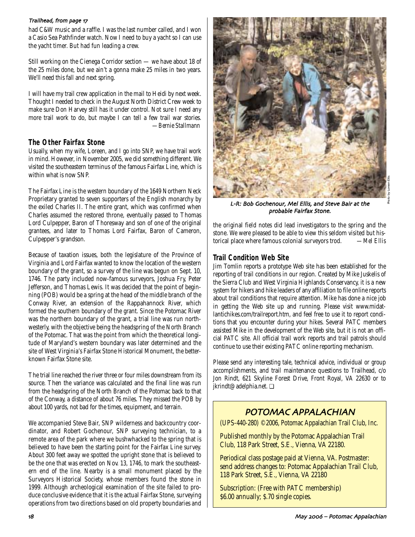#### Trailhead, from page 17

had C&W music and a raffle. I was the last number called, and I won a Casio Sea Pathfinder watch. Now I need to buy a yacht so I can use the yacht timer. But had fun leading a crew.

Still working on the Cienega Corridor section — we have about 18 of the 25 miles done, but we ain't a gonna make 25 miles in two years. We'll need this fall and next spring.

I will have my trail crew application in the mail to Heidi by next week. Thought I needed to check in the August North District Crew week to make sure Don Harvey still has it under control. Not sure I need any more trail work to do, but maybe I can tell a few trail war stories. *—Bernie Stallmann*

### **The Other Fairfax Stone**

Usually, when my wife, Loreen, and I go into SNP, we have trail work in mind. However, in November 2005, we did something different. We visited the southeastern terminus of the famous Fairfax Line, which is within what is now SNP.

The Fairfax Line is the western boundary of the 1649 Northern Neck Proprietary granted to seven supporters of the English monarchy by the exiled Charles II. The entire grant, which was confirmed when Charles assumed the restored throne, eventually passed to Thomas Lord Culpepper, Baron of Thoresway and son of one of the original grantees, and later to Thomas Lord Fairfax, Baron of Cameron, Culpepper's grandson.

Because of taxation issues, both the legislature of the Province of Virginia and Lord Fairfax wanted to know the location of the western boundary of the grant, so a survey of the line was begun on Sept. 10, 1746. The party included now-famous surveyors, Joshua Fry, Peter Jefferson, and Thomas Lewis. It was decided that the point of beginning (POB) would be a spring at the head of the middle branch of the Conway River, an extension of the Rappahannock River, which formed the southern boundary of the grant. Since the Potomac River was the northern boundary of the grant, a trial line was run northwesterly, with the objective being the headspring of the North Branch of the Potomac. That was the point from which the theoretical longitude of Maryland's western boundary was later determined and the site of West Virginia's Fairfax Stone Historical Monument, the betterknown Fairfax Stone site.

The trial line reached the river three or four miles downstream from its source. Then the variance was calculated and the final line was run from the headspring of the North Branch of the Potomac back to that of the Conway, a distance of about 76 miles. They missed the POB by about 100 yards, not bad for the times, equipment, and terrain.

We accompanied Steve Bair, SNP wilderness and backcountry coordinator, and Robert Gochenour, SNP surveying technician, to a remote area of the park where we bushwhacked to the spring that is believed to have been the starting point for the Fairfax Line survey. About 300 feet away we spotted the upright stone that is believed to be the one that was erected on Nov. 13, 1746, to mark the southeastern end of the line. Nearby is a small monument placed by the Surveyors Historical Society, whose members found the stone in 1999. Although archeological examination of the site failed to produce conclusive evidence that it is the actual Fairfax Stone, surveying operations from two directions based on old property boundaries and



L-R: Bob Gochenour, Mel Ellis, and Steve Bair at the probable Fairfax Stone.

the original field notes did lead investigators to the spring and the stone. We were pleased to be able to view this seldom visited but historical place where famous colonial surveyors trod. *—Mel Ellis*

### **Trail Condition Web Site**

Jim Tomlin reports a prototype Web site has been established for the reporting of trail conditions in our region. Created by Mike Juskelis of the Sierra Club and West Virginia Highlands Conservancy, it is a new system for hikers and hike leaders of any affiliation to file online reports about trail conditions that require attention. Mike has done a nice job in getting the Web site up and running. Please visit www.midatlantichikes.com/trailreport.htm, and feel free to use it to report conditions that you encounter during your hikes. Several PATC members assisted Mike in the development of the Web site, but it is not an official PATC site. All official trail work reports and trail patrols should continue to use their existing PATC online reporting mechanism.

Please send any interesting tale, technical advice, individual or group accomplishments, and trail maintenance questions to Trailhead, c/o Jon Rindt, 621 Skyline Forest Drive, Front Royal, VA 22630 or to jkrindt@adelphia.net. ❏

## POTOMAC APPALACHIAN

(UPS-440-280) ©2006, Potomac Appalachian Trail Club, Inc.

Published monthly by the Potomac Appalachian Trail Club, 118 Park Street, S.E., Vienna, VA 22180.

Periodical class postage paid at Vienna, VA. Postmaster: send address changes to: Potomac Appalachian Trail Club, 118 Park Street, S.E., Vienna, VA 22180

Subscription: (Free with PATC membership) \$6.00 annually; \$.70 single copies.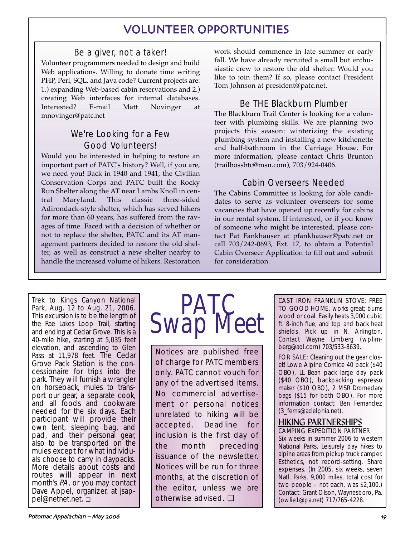## VOLUNTEER OPPORTUNITIES

## Be a giver, not a taker!

Volunteer programmers needed to design and build Web applications. Willing to donate time writing PHP, Perl, SQL, and Java code? Current projects are: 1.) expanding Web-based cabin reservations and 2.) creating Web interfaces for internal databases. Interested? E-mail Matt Novinger at mnovinger@patc.net

## We're Looking for a Few Good Volunteers!

Would you be interested in helping to restore an important part of PATC's history? Well, if you are, we need you! Back in 1940 and 1941, the Civilian Conservation Corps and PATC built the Rocky Run Shelter along the AT near Lambs Knoll in central Maryland. This classic three-sided Adirondack-style shelter, which has served hikers for more than 60 years, has suffered from the ravages of time. Faced with a decision of whether or not to replace the shelter, PATC and its AT management partners decided to restore the old shelter, as well as construct a new shelter nearby to handle the increased volume of hikers. Restoration work should commence in late summer or early fall. We have already recruited a small but enthusiastic crew to restore the old shelter. Would you like to join them? If so, please contact President Tom Johnson at president@patc.net.

## Be THE Blackburn Plumber

The Blackburn Trail Center is looking for a volunteer with plumbing skills. We are planning two projects this season: winterizing the existing plumbing system and installing a new kitchenette and half-bathroom in the Carriage House. For more information, please contact Chris Brunton (trailbossbtc@msn.com), 703/924-0406.

## Cabin Overseers Needed

The Cabins Committee is looking for able candidates to serve as volunteer overseers for some vacancies that have opened up recently for cabins in our rental system. If interested, or if you know of someone who might be interested, please contact Pat Fankhauser at pfankhauser@patc.net or call 703/242-0693, Ext. 17, to obtain a Potential Cabin Overseer Application to fill out and submit for consideration.

Trek to Kings Canyon National Park, Aug. 12 to Aug. 21, 2006. This excursion is to be the length of the Rae Lakes Loop Trail, starting and ending at Cedar Grove. This is a 40-mile hike, starting at 5,035 feet elevation, and ascending to Glen Pass at 11,978 feet. The Cedar Grove Pack Station is the concessionaire for trips into the park. They will furnish a wrangler on horseback, mules to transport our gear, a separate cook, and all foods and cookware needed for the six days. Each participant will provide their own tent, sleeping bag, and pad, and their personal gear, also to be transported on the mules except for what individuals choose to carry in daypacks. More details about costs and routes will appear in next month's PA, or you may contact Dave Appel, organizer, at jsappel@netnet.net. ❏



Notices are published free of charge for PATC members only. PATC cannot vouch for any of the advertised items. No commercial advertisement or personal notices unrelated to hiking will be accepted. Deadline for inclusion is the first day of the month preceding issuance of the newsletter. Notices will be run for three months, at the discretion of the editor, unless we are otherwise advised. ❏

CAST IRON FRANKLIN STOVE; FREE TO GOOD HOME, works great; burns wood or coal. Easily heats 3,000 cubic ft. 8-inch flue, and top and back heat shields. Pick up in N. Arlington. Contact Wayne Limberg (wplimberg@aol.com) 703/533-8639.

FOR SALE: Cleaning out the gear closet! Lowe Alpine Cornice 40 pack (\$40 OBO), LL Bean pack large day pack (\$40 OBO), backpacking espresso maker (\$10 OBO), 2 MSR Dromedary bags (\$15 for both OBO). For more information contact: Ben Fernandez (3\_ferns@adelphia.net).

### HIKING PARTNERSHIPS CAMPING EXPEDITION PARTNER

Six weeks in summer 2006 to western National Parks. Leisurely day hikes to alpine areas from pickup truck camper. Esthetics, not record-setting. Share expenses. (In 2005, six weeks, seven Natl. Parks, 9,000 miles, total cost for two people – not each, was \$2,100.) Contact: Grant Olson, Waynesboro, Pa. (owlie1@pa.net) 717/765-4228.